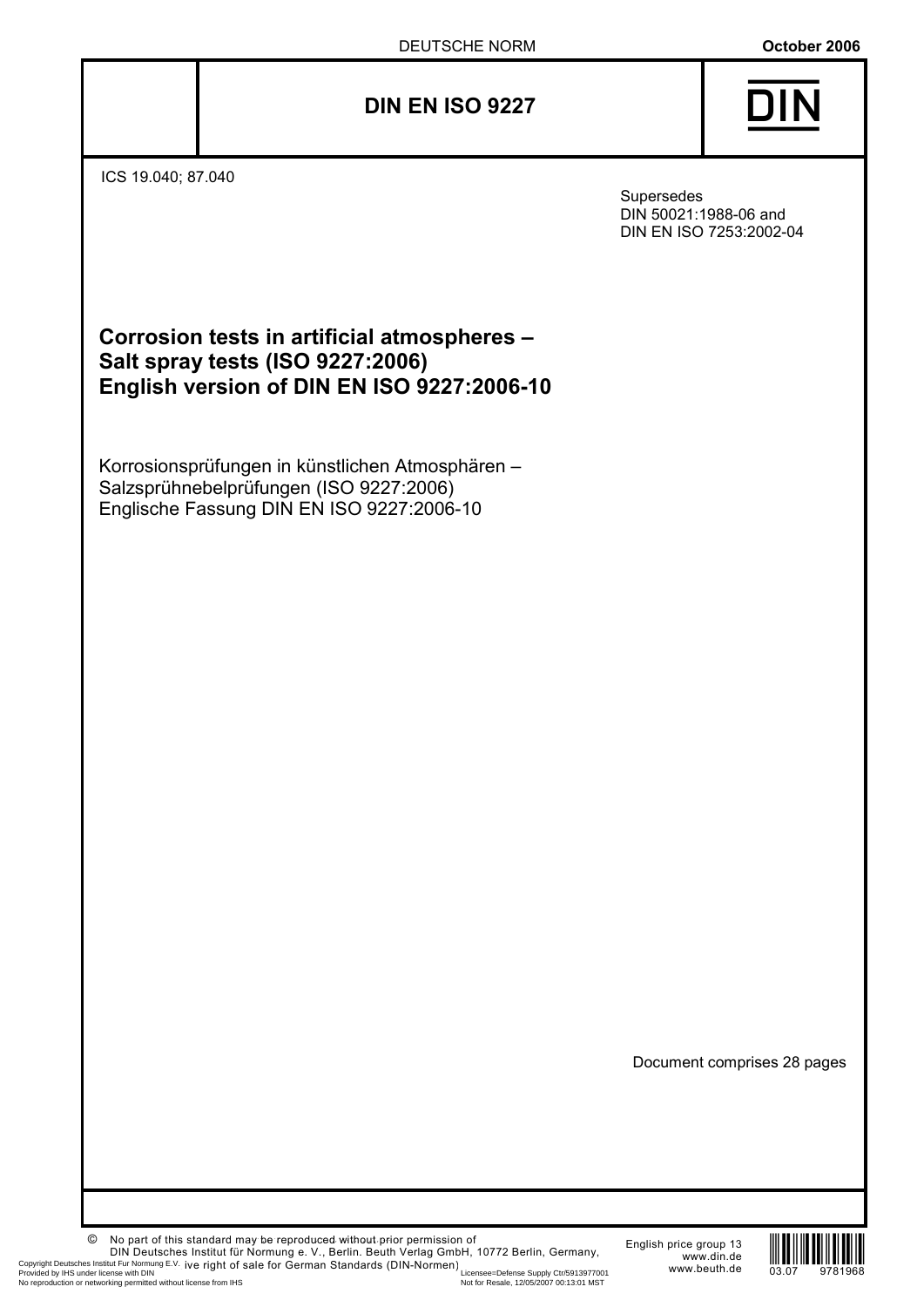# **DIN EN ISO 9227** {



ICS 19.040; 87.040

Supersedes DIN 50021:1988-06 and DIN EN ISO 7253:2002-04

| Corrosion tests in artificial atmospheres - |
|---------------------------------------------|
| Salt spray tests (ISO 9227:2006)            |
| English version of DIN EN ISO 9227:2006-10  |

Korrosionsprüfungen in künstlichen Atmosphären – Salzsprühnebelprüfungen (ISO 9227:2006) Englische Fassung DIN EN ISO 9227:2006-10

Document comprises 28 pages

© No part of this standard may be reproduced without prior permission of DIN Deutsches Institut für Normung e. V., Berlin. Beuth Verlag GmbH, 10772 Berlin, Germany, Copyright Deutsches Institut Fur Normung E.V., ive right of sale for German Standards (DIN-Normen)<br>Provided by HS under licensee=Defense Supply Ctr/5913977001 WWW.beuth.de 03.07 9781968<br>No reproduction or networking permit

English price group 13 www.din.de www.beuth.de

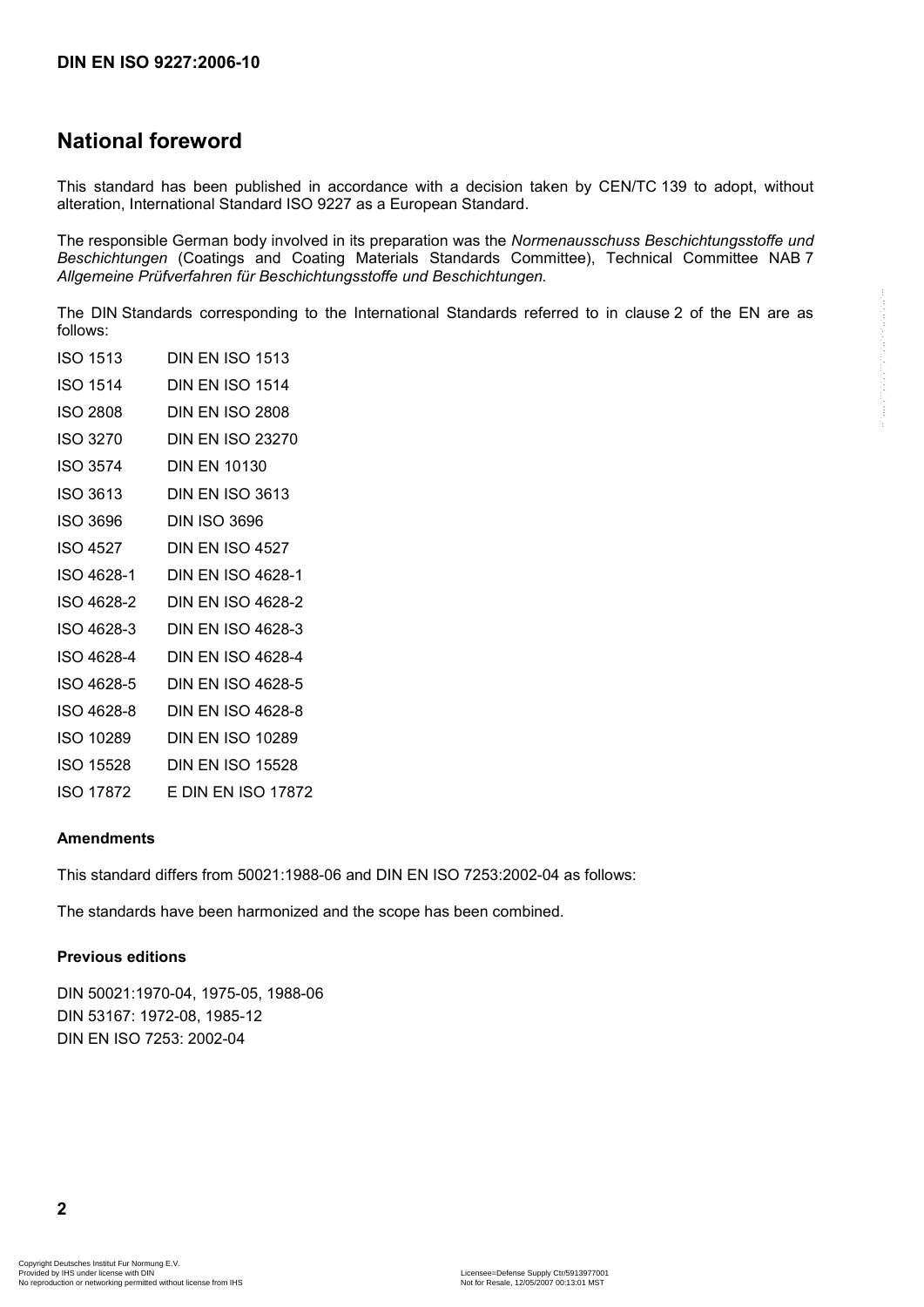# **National foreword**

This standard has been published in accordance with a decision taken by CEN/TC 139 to adopt, without alteration, International Standard ISO 9227 as a European Standard.

The responsible German body involved in its preparation was the *Normenausschuss Beschichtungsstoffe und Beschichtungen* (Coatings and Coating Materials Standards Committee), Technical Committee NAB 7 *Allgemeine Prüfverfahren für Beschichtungsstoffe und Beschichtungen.*

The DIN Standards corresponding to the International Standards referred to in clause 2 of the EN are as follows:

| <b>ISO 1513</b> | <b>DIN EN ISO 1513</b>   |
|-----------------|--------------------------|
| ISO 1514        | <b>DIN EN ISO 1514</b>   |
| <b>ISO 2808</b> | DIN EN ISO 2808          |
| ISO 3270        | <b>DIN EN ISO 23270</b>  |
| ISO 3574        | <b>DIN EN 10130</b>      |
| ISO 3613        | <b>DIN EN ISO 3613</b>   |
| ISO 3696        | <b>DIN ISO 3696</b>      |
| <b>ISO 4527</b> | <b>DIN EN ISO 4527</b>   |
| ISO 4628-1      | <b>DIN EN ISO 4628-1</b> |
| ISO 4628-2      | <b>DIN EN ISO 4628-2</b> |
| ISO 4628-3      | DIN EN ISO 4628-3        |
| ISO 4628-4      | <b>DIN EN ISO 4628-4</b> |
| ISO 4628-5      | DIN EN ISO 4628-5        |
| ISO 4628-8      | <b>DIN EN ISO 4628-8</b> |
| ISO 10289       | <b>DIN EN ISO 10289</b>  |
| ISO 15528       | <b>DIN EN ISO 15528</b>  |
| ISO 17872       | E DIN EN ISO 17872       |
|                 |                          |

#### **Amendments**

This standard differs from 50021:1988-06 and DIN EN ISO 7253:2002-04 as follows:

The standards have been harmonized and the scope has been combined.

#### **Previous editions**

DIN 50021:1970-04, 1975-05, 1988-06 DIN 53167: 1972-08, 1985-12 DIN EN ISO 7253: 2002-04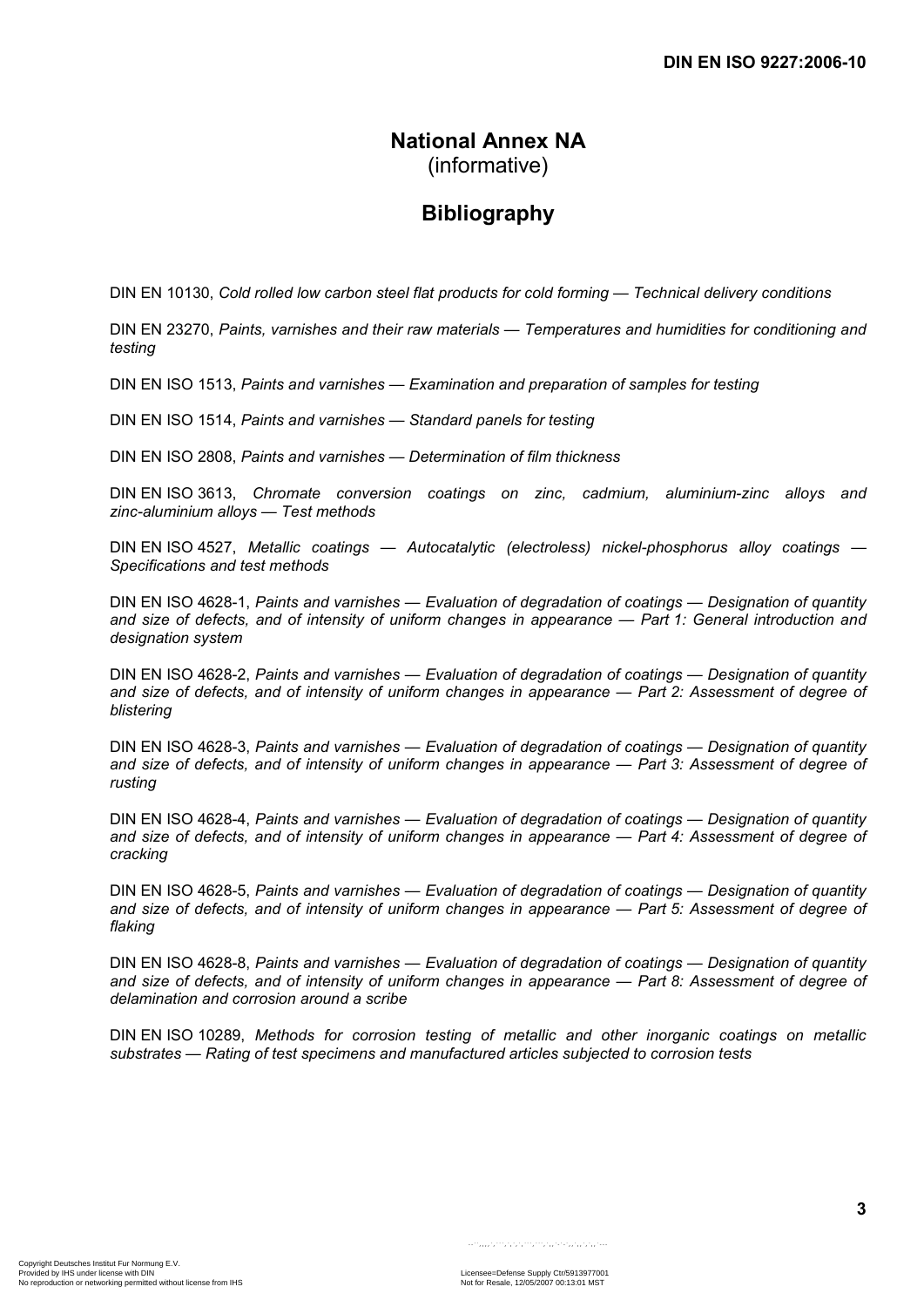# **National Annex NA**  (informative)

# **Bibliography**

DIN EN 10130, *Cold rolled low carbon steel flat products for cold forming — Technical delivery conditions* 

DIN EN 23270, *Paints, varnishes and their raw materials — Temperatures and humidities for conditioning and testing*

DIN EN ISO 1513, *Paints and varnishes — Examination and preparation of samples for testing*

DIN EN ISO 1514, *Paints and varnishes — Standard panels for testing*

DIN EN ISO 2808, *Paints and varnishes — Determination of film thickness*

DIN EN ISO 3613, *Chromate conversion coatings on zinc, cadmium, aluminium-zinc alloys and zinc-aluminium alloys — Test methods*

DIN EN ISO 4527, *Metallic coatings — Autocatalytic (electroless) nickel-phosphorus alloy coatings — Specifications and test methods*

DIN EN ISO 4628-1, *Paints and varnishes — Evaluation of degradation of coatings — Designation of quantity and size of defects, and of intensity of uniform changes in appearance — Part 1: General introduction and designation system*

DIN EN ISO 4628-2, *Paints and varnishes — Evaluation of degradation of coatings — Designation of quantity and size of defects, and of intensity of uniform changes in appearance — Part 2: Assessment of degree of blistering*

DIN EN ISO 4628-3, *Paints and varnishes — Evaluation of degradation of coatings — Designation of quantity and size of defects, and of intensity of uniform changes in appearance — Part 3: Assessment of degree of rusting*

DIN EN ISO 4628-4, *Paints and varnishes — Evaluation of degradation of coatings — Designation of quantity and size of defects, and of intensity of uniform changes in appearance — Part 4: Assessment of degree of cracking*

DIN EN ISO 4628-5, *Paints and varnishes — Evaluation of degradation of coatings — Designation of quantity and size of defects, and of intensity of uniform changes in appearance — Part 5: Assessment of degree of flaking*

DIN EN ISO 4628-8, *Paints and varnishes — Evaluation of degradation of coatings — Designation of quantity and size of defects, and of intensity of uniform changes in appearance — Part 8: Assessment of degree of delamination and corrosion around a scribe*

DIN EN ISO 10289, *Methods for corrosion testing of metallic and other inorganic coatings on metallic substrates — Rating of test specimens and manufactured articles subjected to corrosion tests*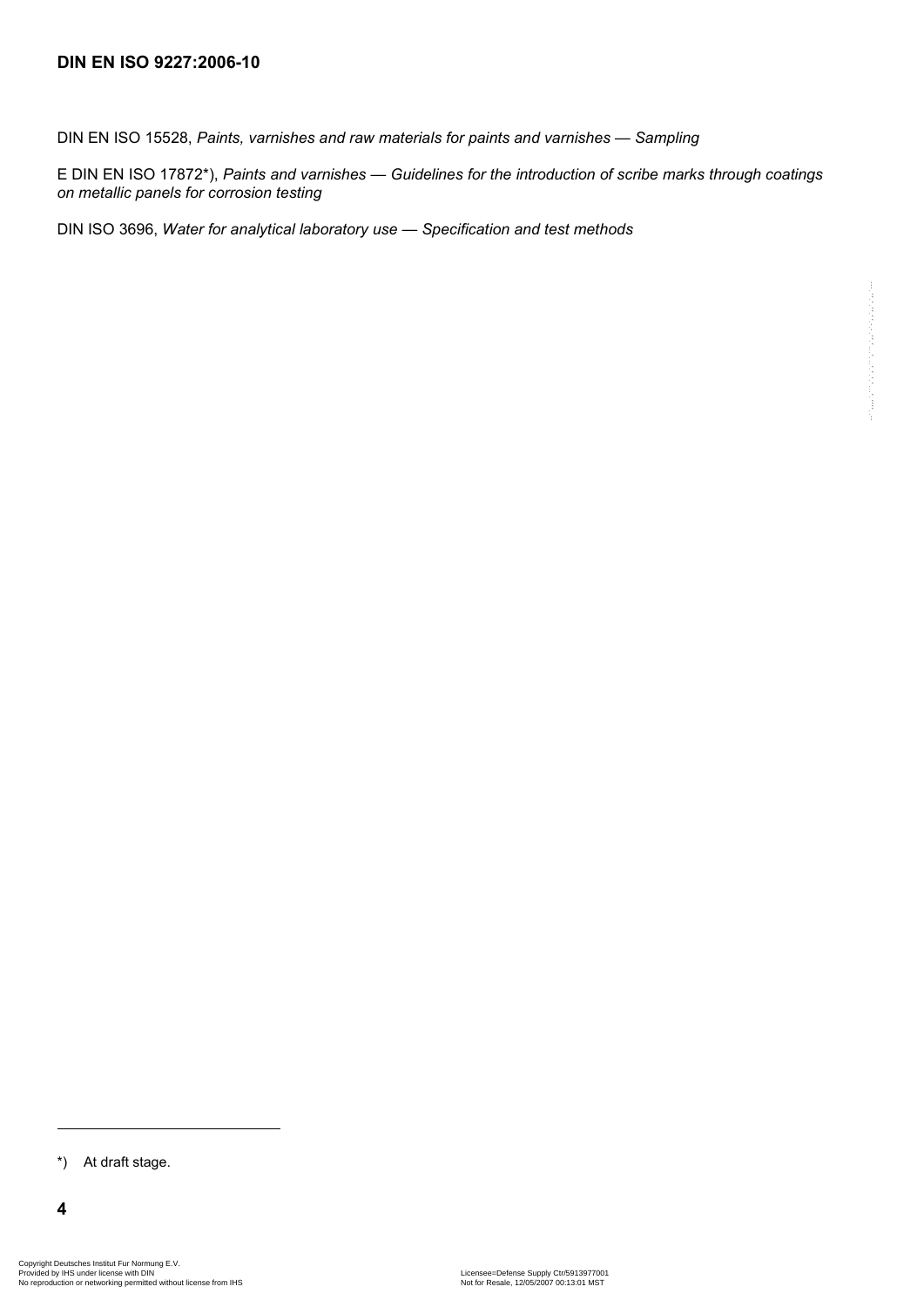DIN EN ISO 15528, *Paints, varnishes and raw materials for paints and varnishes — Sampling*

E DIN EN ISO 17872\*), *Paints and varnishes — Guidelines for the introduction of scribe marks through coatings on metallic panels for corrosion testing*

DIN ISO 3696, *Water for analytical laboratory use — Specification and test methods*

\*) At draft stage.

l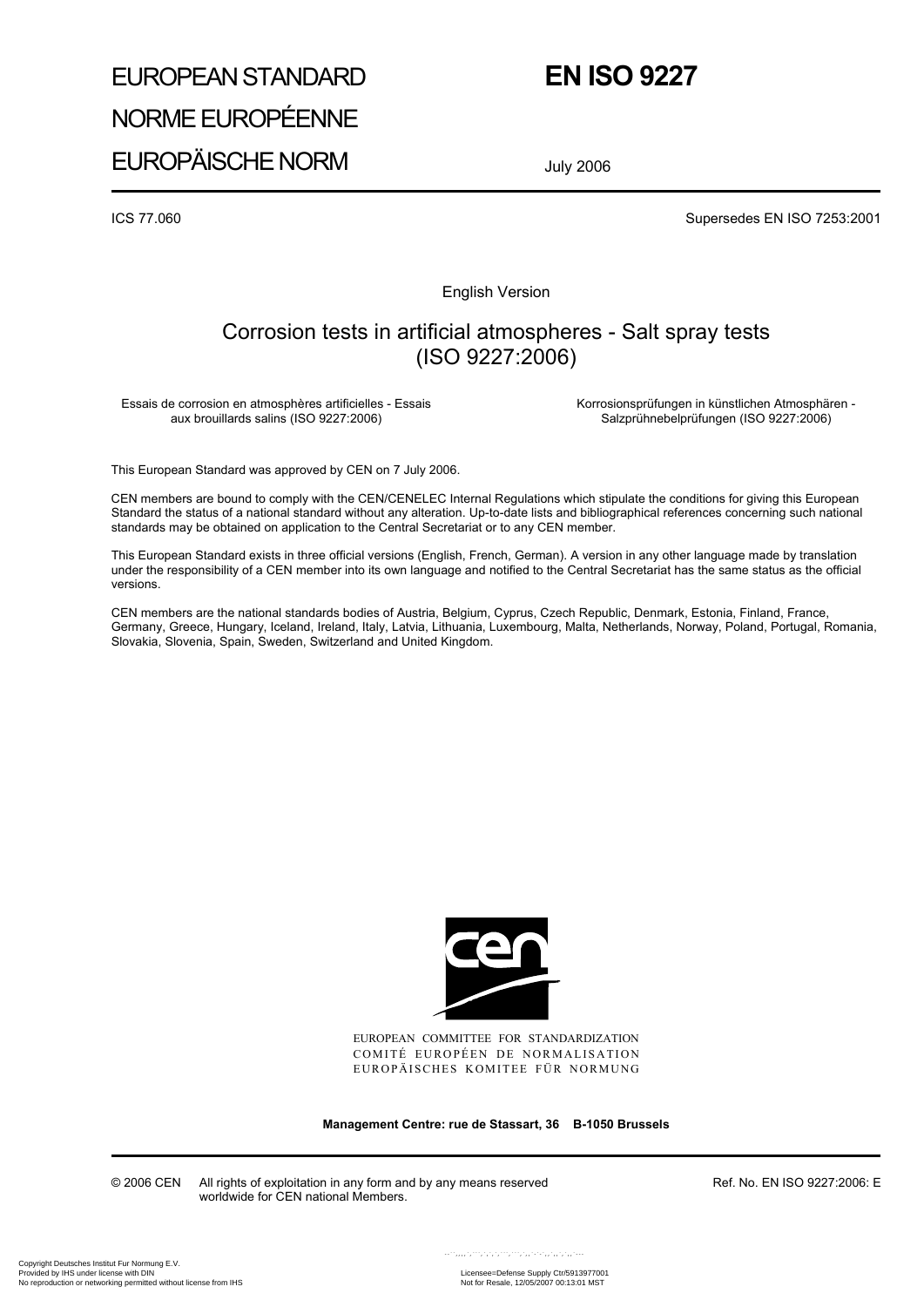# EUROPEAN STANDARD NORME EUROPÉENNE

# **EN ISO 9227**

EUROPÄISCHE NORM

July 2006

ICS 77.060 Supersedes EN ISO 7253:2001

English Version

# Corrosion tests in artificial atmospheres - Salt spray tests (ISO 9227:2006)

Essais de corrosion en atmosphères artificielles - Essais aux brouillards salins (ISO 9227:2006)

 Korrosionsprüfungen in künstlichen Atmosphären - Salzprühnebelprüfungen (ISO 9227:2006)

This European Standard was approved by CEN on 7 July 2006.

CEN members are bound to comply with the CEN/CENELEC Internal Regulations which stipulate the conditions for giving this European Standard the status of a national standard without any alteration. Up-to-date lists and bibliographical references concerning such national standards may be obtained on application to the Central Secretariat or to any CEN member.

This European Standard exists in three official versions (English, French, German). A version in any other language made by translation under the responsibility of a CEN member into its own language and notified to the Central Secretariat has the same status as the official versions.

CEN members are the national standards bodies of Austria, Belgium, Cyprus, Czech Republic, Denmark, Estonia, Finland, France, Germany, Greece, Hungary, Iceland, Ireland, Italy, Latvia, Lithuania, Luxembourg, Malta, Netherlands, Norway, Poland, Portugal, Romania, Slovakia, Slovenia, Spain, Sweden, Switzerland and United Kingdom.



EUROPEAN COMMITTEE FOR STANDARDIZATION COMITÉ EUROPÉEN DE NORMALISATION EUROPÄISCHES KOMITEE FÜR NORMUNG

**Management Centre: rue de Stassart, 36 B-1050 Brussels** 

© 2006 CEN All rights of exploitation in any form and by any means reserved worldwide for CEN national Members.

Ref. No. EN ISO 9227:2006: E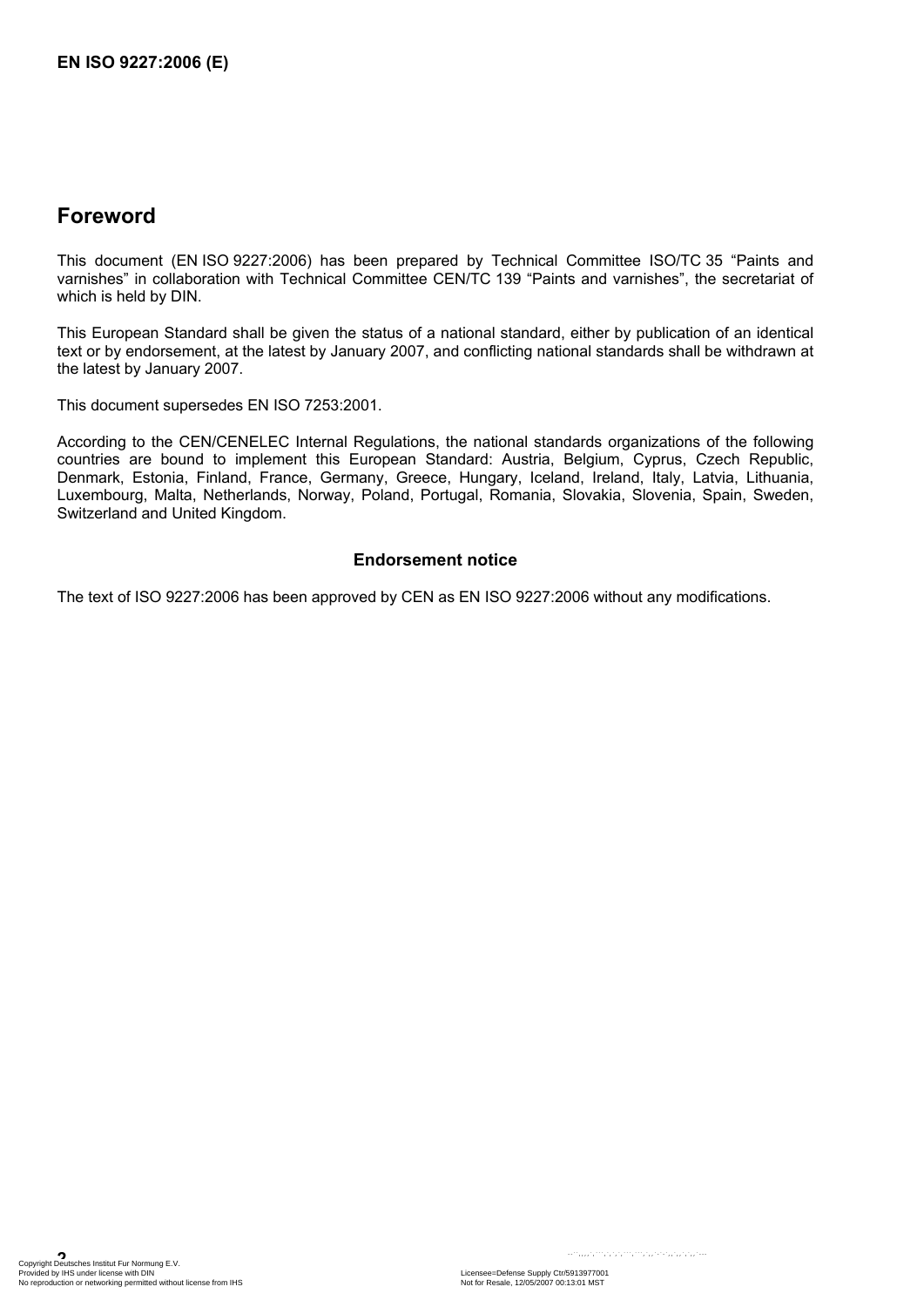# **Foreword**

This document (EN ISO 9227:2006) has been prepared by Technical Committee ISO/TC 35 "Paints and varnishes" in collaboration with Technical Committee CEN/TC 139 "Paints and varnishes", the secretariat of which is held by DIN.

This European Standard shall be given the status of a national standard, either by publication of an identical text or by endorsement, at the latest by January 2007, and conflicting national standards shall be withdrawn at the latest by January 2007.

This document supersedes EN ISO 7253:2001.

According to the CEN/CENELEC Internal Regulations, the national standards organizations of the following countries are bound to implement this European Standard: Austria, Belgium, Cyprus, Czech Republic, Denmark, Estonia, Finland, France, Germany, Greece, Hungary, Iceland, Ireland, Italy, Latvia, Lithuania, Luxembourg, Malta, Netherlands, Norway, Poland, Portugal, Romania, Slovakia, Slovenia, Spain, Sweden, Switzerland and United Kingdom.

#### **Endorsement notice**

The text of ISO 9227:2006 has been approved by CEN as EN ISO 9227:2006 without any modifications.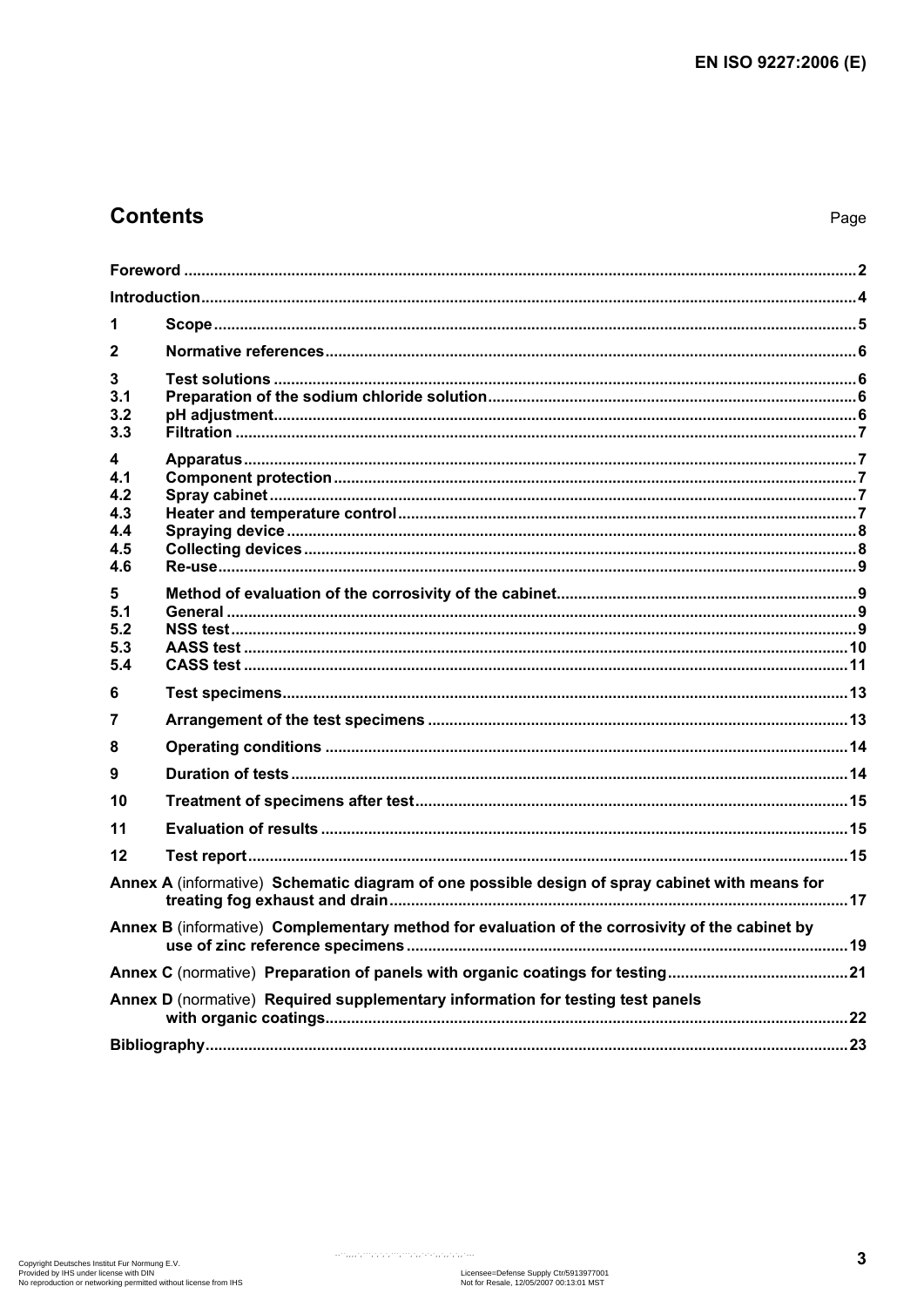# **Contents**

| 1                                           |                                                                                                |  |
|---------------------------------------------|------------------------------------------------------------------------------------------------|--|
| $\mathbf{2}$                                |                                                                                                |  |
| 3<br>3.1<br>3.2<br>3.3                      |                                                                                                |  |
| 4<br>4.1<br>4.2<br>4.3<br>4.4<br>4.5<br>4.6 |                                                                                                |  |
| 5<br>5.1<br>5.2<br>5.3<br>5.4               |                                                                                                |  |
| 6                                           |                                                                                                |  |
| 7                                           |                                                                                                |  |
| 8                                           |                                                                                                |  |
| 9                                           |                                                                                                |  |
| 10                                          |                                                                                                |  |
| 11                                          |                                                                                                |  |
| 12                                          |                                                                                                |  |
|                                             | Annex A (informative) Schematic diagram of one possible design of spray cabinet with means for |  |
|                                             | Annex B (informative) Complementary method for evaluation of the corrosivity of the cabinet by |  |
|                                             |                                                                                                |  |
|                                             | Annex D (normative) Required supplementary information for testing test panels                 |  |
|                                             |                                                                                                |  |

 $\left\langle \varphi_{\alpha}^{(1)},\varphi_{\alpha}^{(1)},\varphi_{\alpha}^{(2)},\varphi_{\alpha}^{(3)},\varphi_{\alpha}^{(4)},\varphi_{\alpha}^{(5)},\varphi_{\alpha}^{(6)},\varphi_{\alpha}^{(6)},\varphi_{\alpha}^{(7)},\varphi_{\alpha}^{(8)},\varphi_{\alpha}^{(8)},\varphi_{\alpha}^{(8)},\varphi_{\alpha}^{(8)},\varphi_{\alpha}^{(8)},\varphi_{\alpha}^{(8)},\varphi_{\alpha}^{(8)},\varphi_{\alpha}^{(8)},\varphi_{\alpha}^{(8)},\varphi_{\alpha}^{(8)},\varphi_{\alpha}$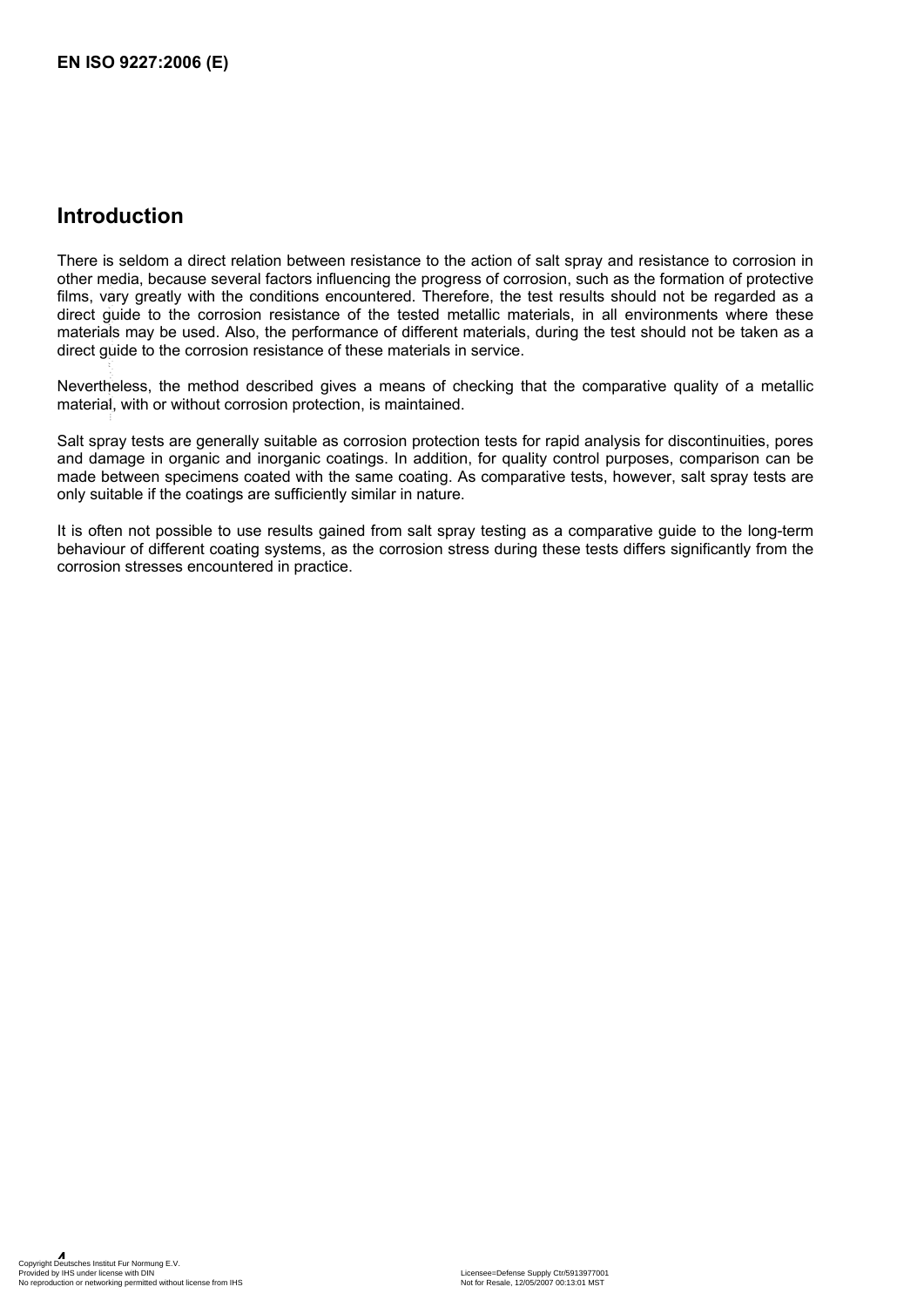# **Introduction**

There is seldom a direct relation between resistance to the action of salt spray and resistance to corrosion in other media, because several factors influencing the progress of corrosion, such as the formation of protective films, vary greatly with the conditions encountered. Therefore, the test results should not be regarded as a direct guide to the corrosion resistance of the tested metallic materials, in all environments where these materials may be used. Also, the performance of different materials, during the test should not be taken as a direct guide to the corrosion resistance of these materials in service.  $\cdot,\cdot,\cdot,\cdot,\cdot,\cdot,\cdot,\cdot,\cdot$ 

Nevertheless, the method described gives a means of checking that the comparative quality of a metallic material, with or without corrosion protection, is maintained.

Salt spray tests are generally suitable as corrosion protection tests for rapid analysis for discontinuities, pores and damage in organic and inorganic coatings. In addition, for quality control purposes, comparison can be made between specimens coated with the same coating. As comparative tests, however, salt spray tests are only suitable if the coatings are sufficiently similar in nature.

It is often not possible to use results gained from salt spray testing as a comparative guide to the long-term behaviour of different coating systems, as the corrosion stress during these tests differs significantly from the corrosion stresses encountered in practice.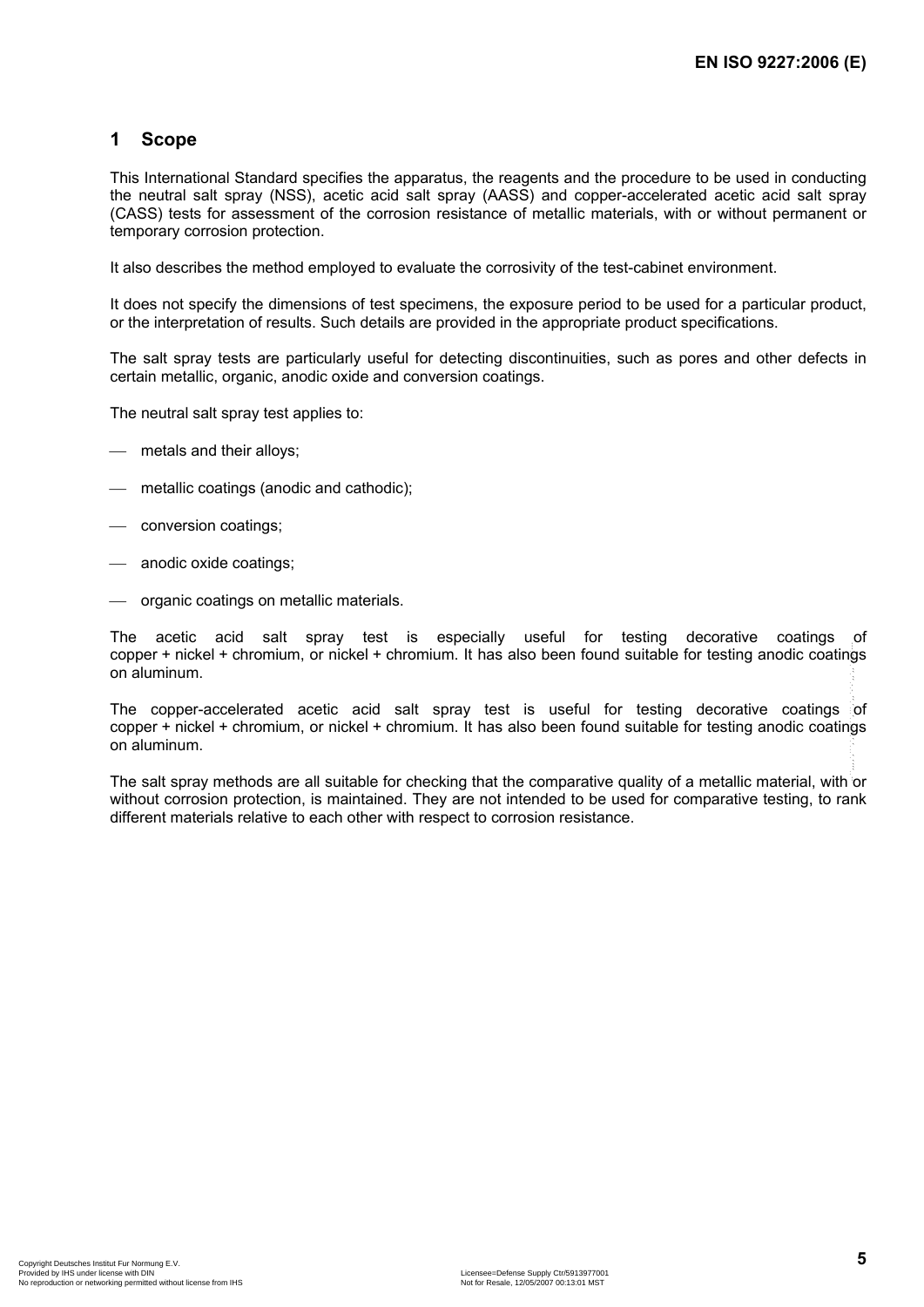### **1 Scope**

This International Standard specifies the apparatus, the reagents and the procedure to be used in conducting the neutral salt spray (NSS), acetic acid salt spray (AASS) and copper-accelerated acetic acid salt spray (CASS) tests for assessment of the corrosion resistance of metallic materials, with or without permanent or temporary corrosion protection.

It also describes the method employed to evaluate the corrosivity of the test-cabinet environment.

It does not specify the dimensions of test specimens, the exposure period to be used for a particular product, or the interpretation of results. Such details are provided in the appropriate product specifications.

The salt spray tests are particularly useful for detecting discontinuities, such as pores and other defects in certain metallic, organic, anodic oxide and conversion coatings.

The neutral salt spray test applies to:

- metals and their alloys;
- ⎯ metallic coatings (anodic and cathodic);
- conversion coatings;
- anodic oxide coatings;
- ⎯ organic coatings on metallic materials.

The acetic acid salt spray test is especially useful for testing decorative coatings of copper + nickel + chromium, or nickel + chromium. It has also been found suitable for testing anodic coatings on aluminum.

The copper-accelerated acetic acid salt spray test is useful for testing decorative coatings of copper + nickel + chromium, or nickel + chromium. It has also been found suitable for testing anodic coatings on aluminum. --``,,,,`,```,`,`,`,```,```,`,,`-`-`,,`,,`,`,,`---

The salt spray methods are all suitable for checking that the comparative quality of a metallic material, with or without corrosion protection, is maintained. They are not intended to be used for comparative testing, to rank different materials relative to each other with respect to corrosion resistance.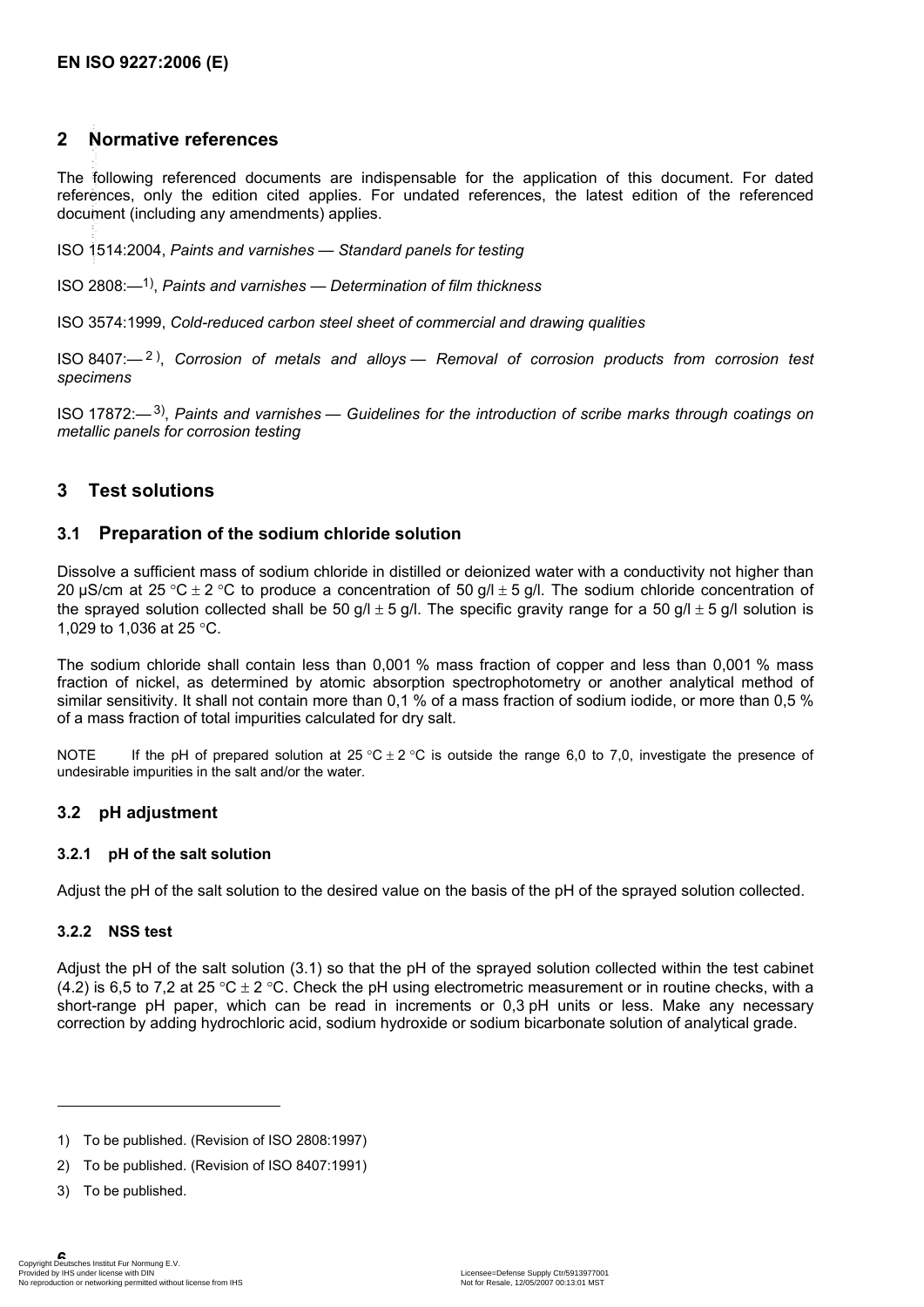### **2 Normative references**

The following referenced documents are indispensable for the application of this document. For dated references, only the edition cited applies. For undated references, the latest edition of the referenced document (including any amendments) applies. --``,,,,`,```,`,`,`,```,```,`,,`-`-`,,`,,`,`,,`---

ISO 1514:2004, *Paints and varnishes — Standard panels for testing*

ISO 2808:—1), *Paints and varnishes — Determination of film thickness*

ISO 3574:1999, *Cold-reduced carbon steel sheet of commercial and drawing qualities*

ISO 8407:— 2 ), *Corrosion of metals and alloys — Removal of corrosion products from corrosion test specimens*

ISO 17872:—3), *Paints and varnishes — Guidelines for the introduction of scribe marks through coatings on metallic panels for corrosion testing*

### **3 Test solutions**

#### **3.1 Preparation of the sodium chloride solution**

Dissolve a sufficient mass of sodium chloride in distilled or deionized water with a conductivity not higher than 20 µS/cm at 25 °C ± 2 °C to produce a concentration of 50  $q/l \pm 5 q/l$ . The sodium chloride concentration of the sprayed solution collected shall be 50 g/l  $\pm$  5 g/l. The specific gravity range for a 50 g/l  $\pm$  5 g/l solution is 1,029 to 1,036 at 25 °C.

The sodium chloride shall contain less than 0,001 % mass fraction of copper and less than 0,001 % mass fraction of nickel, as determined by atomic absorption spectrophotometry or another analytical method of similar sensitivity. It shall not contain more than 0,1 % of a mass fraction of sodium iodide, or more than 0,5 % of a mass fraction of total impurities calculated for dry salt.

NOTE If the pH of prepared solution at  $25 \degree C \pm 2 \degree C$  is outside the range 6,0 to 7,0, investigate the presence of undesirable impurities in the salt and/or the water.

#### **3.2 pH adjustment**

#### **3.2.1 pH of the salt solution**

Adjust the pH of the salt solution to the desired value on the basis of the pH of the sprayed solution collected.

#### **3.2.2 NSS test**

Adjust the pH of the salt solution (3.1) so that the pH of the sprayed solution collected within the test cabinet (4.2) is 6,5 to 7,2 at 25 °C  $\pm$  2 °C. Check the pH using electrometric measurement or in routine checks, with a short-range pH paper, which can be read in increments or 0,3 pH units or less. Make any necessary correction by adding hydrochloric acid, sodium hydroxide or sodium bicarbonate solution of analytical grade.

- 1) To be published. (Revision of ISO 2808:1997)
- 2) To be published. (Revision of ISO 8407:1991)
- 3) To be published.

l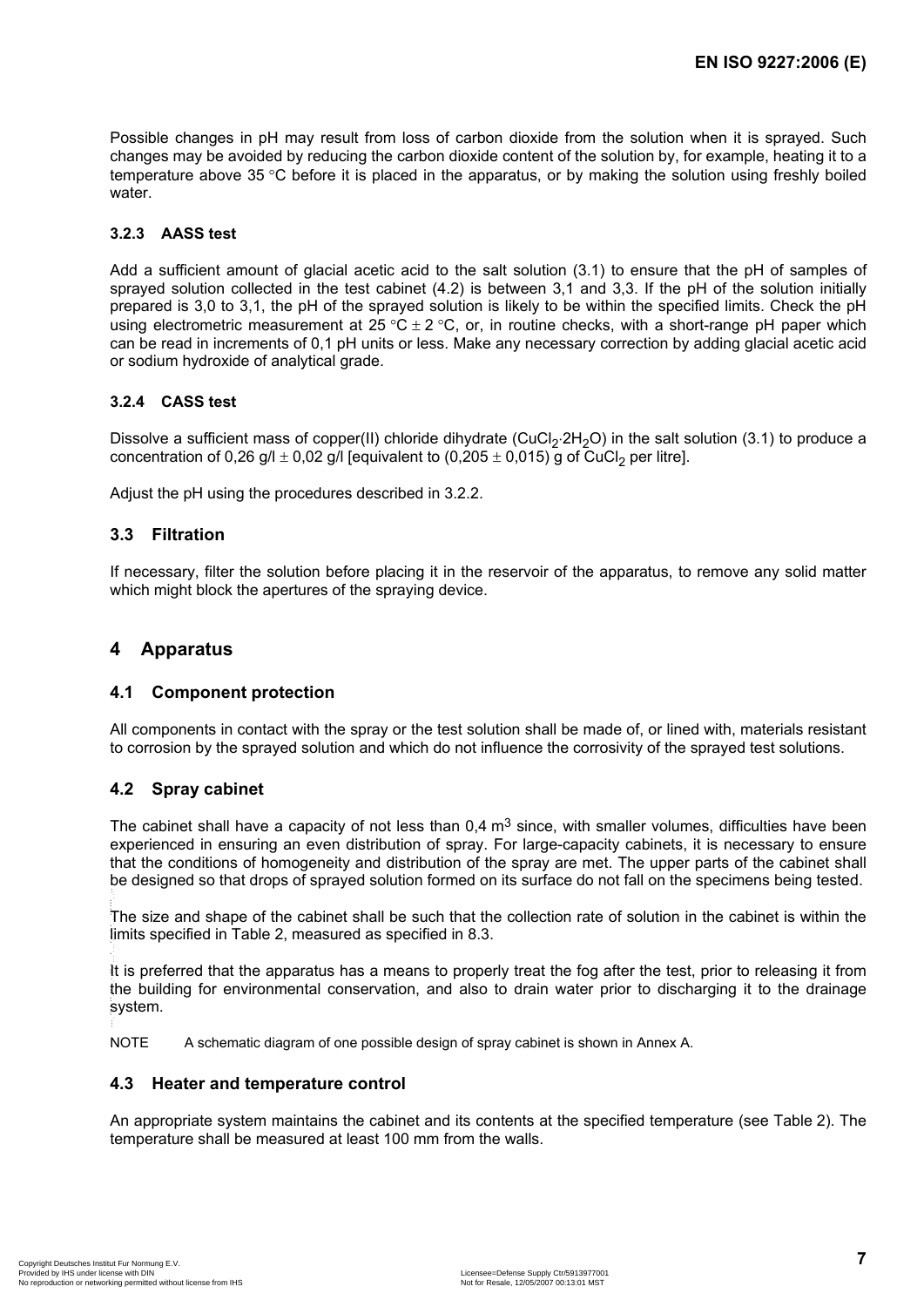Possible changes in pH may result from loss of carbon dioxide from the solution when it is sprayed. Such changes may be avoided by reducing the carbon dioxide content of the solution by, for example, heating it to a temperature above 35 °C before it is placed in the apparatus, or by making the solution using freshly boiled water.

#### **3.2.3 AASS test**

Add a sufficient amount of glacial acetic acid to the salt solution (3.1) to ensure that the pH of samples of sprayed solution collected in the test cabinet (4.2) is between 3,1 and 3,3. If the pH of the solution initially prepared is 3,0 to 3,1, the pH of the sprayed solution is likely to be within the specified limits. Check the pH using electrometric measurement at  $25 \text{ °C} \pm 2 \text{ °C}$ , or, in routine checks, with a short-range pH paper which can be read in increments of 0,1 pH units or less. Make any necessary correction by adding glacial acetic acid or sodium hydroxide of analytical grade.

#### **3.2.4 CASS test**

Dissolve a sufficient mass of copper(II) chloride dihydrate (CuCl<sub>2</sub>⋅2H<sub>2</sub>O) in the salt solution (3.1) to produce a concentration of 0,26 g/l  $\pm$  0,02 g/l [equivalent to (0,205  $\pm$  0,015) g of CuCl<sub>2</sub> per litre].

Adjust the pH using the procedures described in 3.2.2.

#### **3.3 Filtration**

If necessary, filter the solution before placing it in the reservoir of the apparatus, to remove any solid matter which might block the apertures of the spraying device.

#### **4 Apparatus**

#### **4.1 Component protection**

All components in contact with the spray or the test solution shall be made of, or lined with, materials resistant to corrosion by the sprayed solution and which do not influence the corrosivity of the sprayed test solutions.

#### **4.2 Spray cabinet**

The cabinet shall have a capacity of not less than  $0.4 \text{ m}^3$  since, with smaller volumes, difficulties have been experienced in ensuring an even distribution of spray. For large-capacity cabinets, it is necessary to ensure that the conditions of homogeneity and distribution of the spray are met. The upper parts of the cabinet shall be designed so that drops of sprayed solution formed on its surface do not fall on the specimens being tested.

The size and shape of the cabinet shall be such that the collection rate of solution in the cabinet is within the limits specified in Table 2, measured as specified in 8.3.

It is preferred that the apparatus has a means to properly treat the fog after the test, prior to releasing it from the building for environmental conservation, and also to drain water prior to discharging it to the drainage system. --``,,,,`,```,`,`,`,```,```,`,,`-`-`,,`,,`,`,,`---

NOTE A schematic diagram of one possible design of spray cabinet is shown in Annex A.

#### **4.3 Heater and temperature control**

An appropriate system maintains the cabinet and its contents at the specified temperature (see Table 2). The temperature shall be measured at least 100 mm from the walls.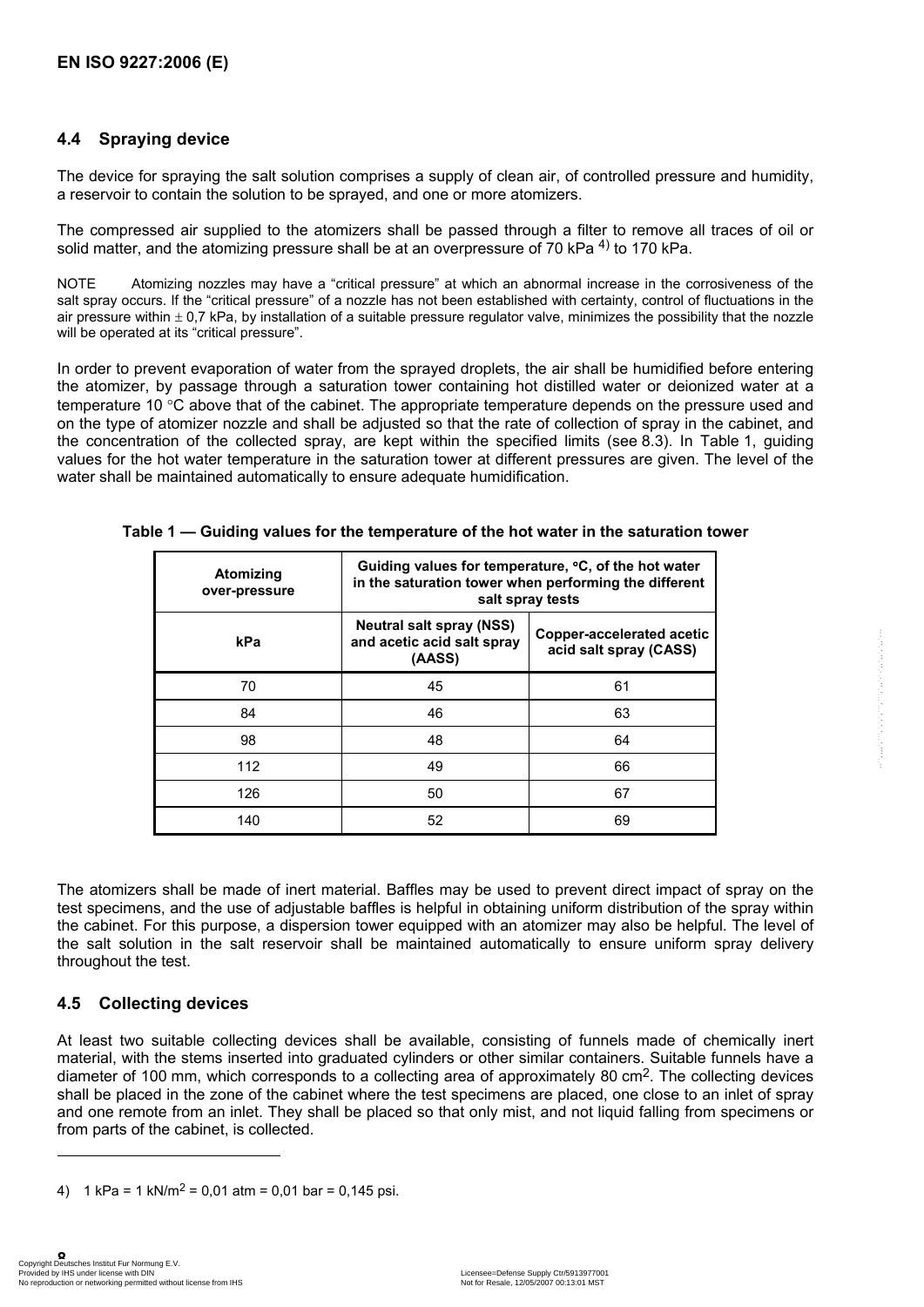### **4.4 Spraying device**

The device for spraying the salt solution comprises a supply of clean air, of controlled pressure and humidity, a reservoir to contain the solution to be sprayed, and one or more atomizers.

The compressed air supplied to the atomizers shall be passed through a filter to remove all traces of oil or solid matter, and the atomizing pressure shall be at an overpressure of 70 kPa  $^{4)}$  to 170 kPa.

NOTE Atomizing nozzles may have a "critical pressure" at which an abnormal increase in the corrosiveness of the salt spray occurs. If the "critical pressure" of a nozzle has not been established with certainty, control of fluctuations in the air pressure within  $\pm$  0.7 kPa, by installation of a suitable pressure regulator valve, minimizes the possibility that the nozzle will be operated at its "critical pressure".

In order to prevent evaporation of water from the sprayed droplets, the air shall be humidified before entering the atomizer, by passage through a saturation tower containing hot distilled water or deionized water at a temperature 10 °C above that of the cabinet. The appropriate temperature depends on the pressure used and on the type of atomizer nozzle and shall be adjusted so that the rate of collection of spray in the cabinet, and the concentration of the collected spray, are kept within the specified limits (see 8.3). In Table 1, guiding values for the hot water temperature in the saturation tower at different pressures are given. The level of the water shall be maintained automatically to ensure adequate humidification.

| Atomizing<br>over-pressure | Guiding values for temperature, °C, of the hot water<br>in the saturation tower when performing the different<br>salt spray tests |                                                     |  |
|----------------------------|-----------------------------------------------------------------------------------------------------------------------------------|-----------------------------------------------------|--|
| kPa                        | <b>Neutral salt spray (NSS)</b><br>and acetic acid salt spray<br>(AASS)                                                           | Copper-accelerated acetic<br>acid salt spray (CASS) |  |
| 70                         | 45                                                                                                                                | 61                                                  |  |
| 84                         | 46                                                                                                                                | 63                                                  |  |
| 98                         | 48                                                                                                                                | 64                                                  |  |
| 112                        | 49                                                                                                                                | 66                                                  |  |
| 126                        | 50                                                                                                                                | 67                                                  |  |
| 140                        | 52                                                                                                                                | 69                                                  |  |

**Table 1 — Guiding values for the temperature of the hot water in the saturation tower** 

The atomizers shall be made of inert material. Baffles may be used to prevent direct impact of spray on the test specimens, and the use of adjustable baffles is helpful in obtaining uniform distribution of the spray within the cabinet. For this purpose, a dispersion tower equipped with an atomizer may also be helpful. The level of the salt solution in the salt reservoir shall be maintained automatically to ensure uniform spray delivery throughout the test.

### **4.5 Collecting devices**

At least two suitable collecting devices shall be available, consisting of funnels made of chemically inert material, with the stems inserted into graduated cylinders or other similar containers. Suitable funnels have a diameter of 100 mm, which corresponds to a collecting area of approximately 80 cm2. The collecting devices shall be placed in the zone of the cabinet where the test specimens are placed, one close to an inlet of spray and one remote from an inlet. They shall be placed so that only mist, and not liquid falling from specimens or from parts of the cabinet, is collected.

```
4) 1 \text{ kPa} = 1 \text{ kN/m}^2 = 0.01 \text{ atm} = 0.01 \text{ bar} = 0.145 \text{ psi}.
```
l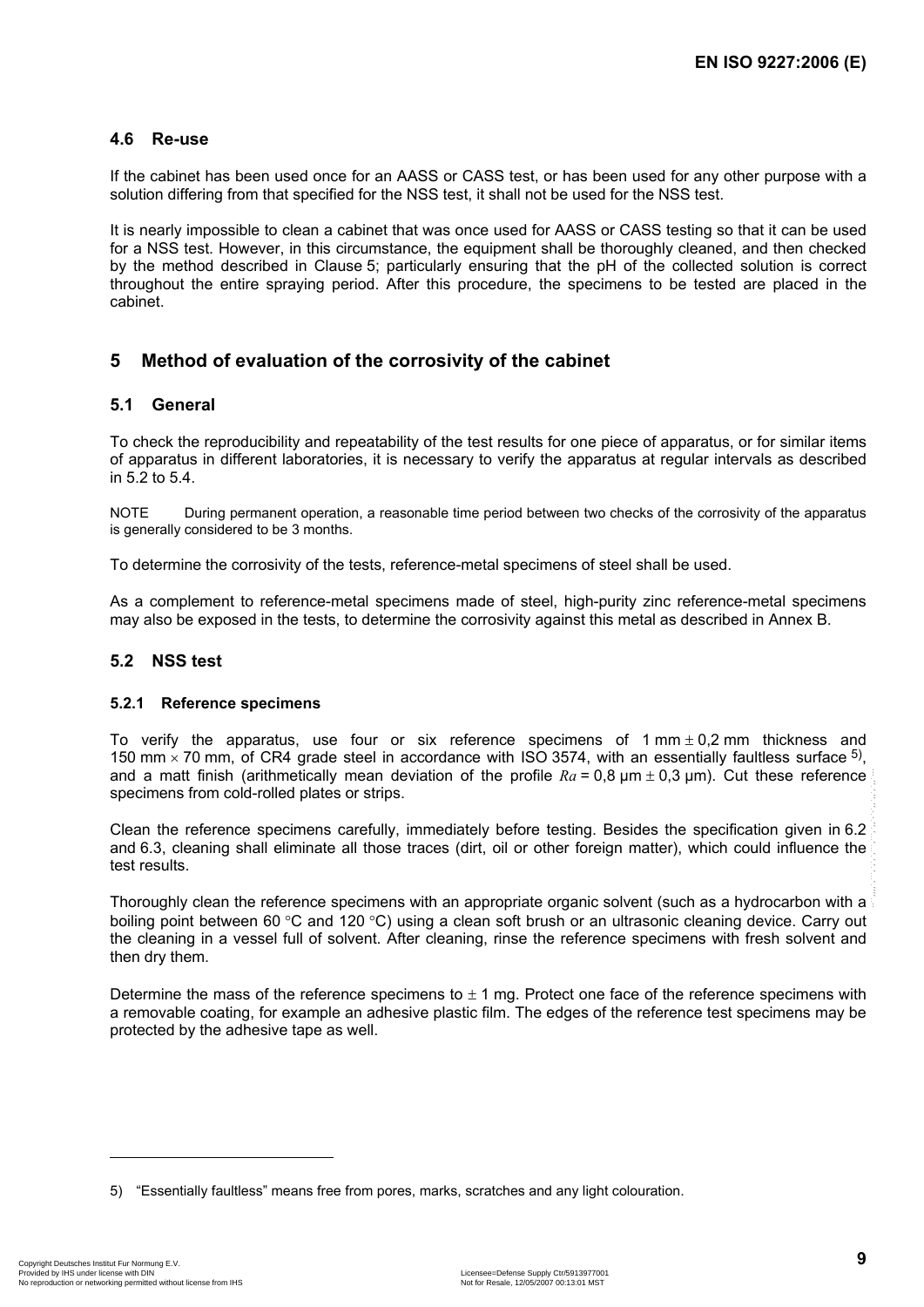#### **4.6 Re-use**

If the cabinet has been used once for an AASS or CASS test, or has been used for any other purpose with a solution differing from that specified for the NSS test, it shall not be used for the NSS test.

It is nearly impossible to clean a cabinet that was once used for AASS or CASS testing so that it can be used for a NSS test. However, in this circumstance, the equipment shall be thoroughly cleaned, and then checked by the method described in Clause 5; particularly ensuring that the pH of the collected solution is correct throughout the entire spraying period. After this procedure, the specimens to be tested are placed in the cabinet.

### **5 Method of evaluation of the corrosivity of the cabinet**

#### **5.1 General**

To check the reproducibility and repeatability of the test results for one piece of apparatus, or for similar items of apparatus in different laboratories, it is necessary to verify the apparatus at regular intervals as described in 5.2 to 5.4.

NOTE During permanent operation, a reasonable time period between two checks of the corrosivity of the apparatus is generally considered to be 3 months.

To determine the corrosivity of the tests, reference-metal specimens of steel shall be used.

As a complement to reference-metal specimens made of steel, high-purity zinc reference-metal specimens may also be exposed in the tests, to determine the corrosivity against this metal as described in Annex B.

#### **5.2 NSS test**

#### **5.2.1 Reference specimens**

To verify the apparatus, use four or six reference specimens of  $1 \text{ mm} \pm 0.2 \text{ mm}$  thickness and 150 mm  $\times$  70 mm, of CR4 grade steel in accordance with ISO 3574, with an essentially faultless surface  $5$ . and a matt finish (arithmetically mean deviation of the profile  $Ra = 0.8 \mu m \pm 0.3 \mu m$ ). Cut these reference specimens from cold-rolled plates or strips.

Clean the reference specimens carefully, immediately before testing. Besides the specification given in 6.2 and 6.3, cleaning shall eliminate all those traces (dirt, oil or other foreign matter), which could influence the test results.

Thoroughly clean the reference specimens with an appropriate organic solvent (such as a hydrocarbon with a boiling point between 60 °C and 120 °C) using a clean soft brush or an ultrasonic cleaning device. Carry out the cleaning in a vessel full of solvent. After cleaning, rinse the reference specimens with fresh solvent and then dry them.

Determine the mass of the reference specimens to  $\pm$  1 mg. Protect one face of the reference specimens with a removable coating, for example an adhesive plastic film. The edges of the reference test specimens may be protected by the adhesive tape as well.

1

<sup>5) &</sup>quot;Essentially faultless" means free from pores, marks, scratches and any light colouration.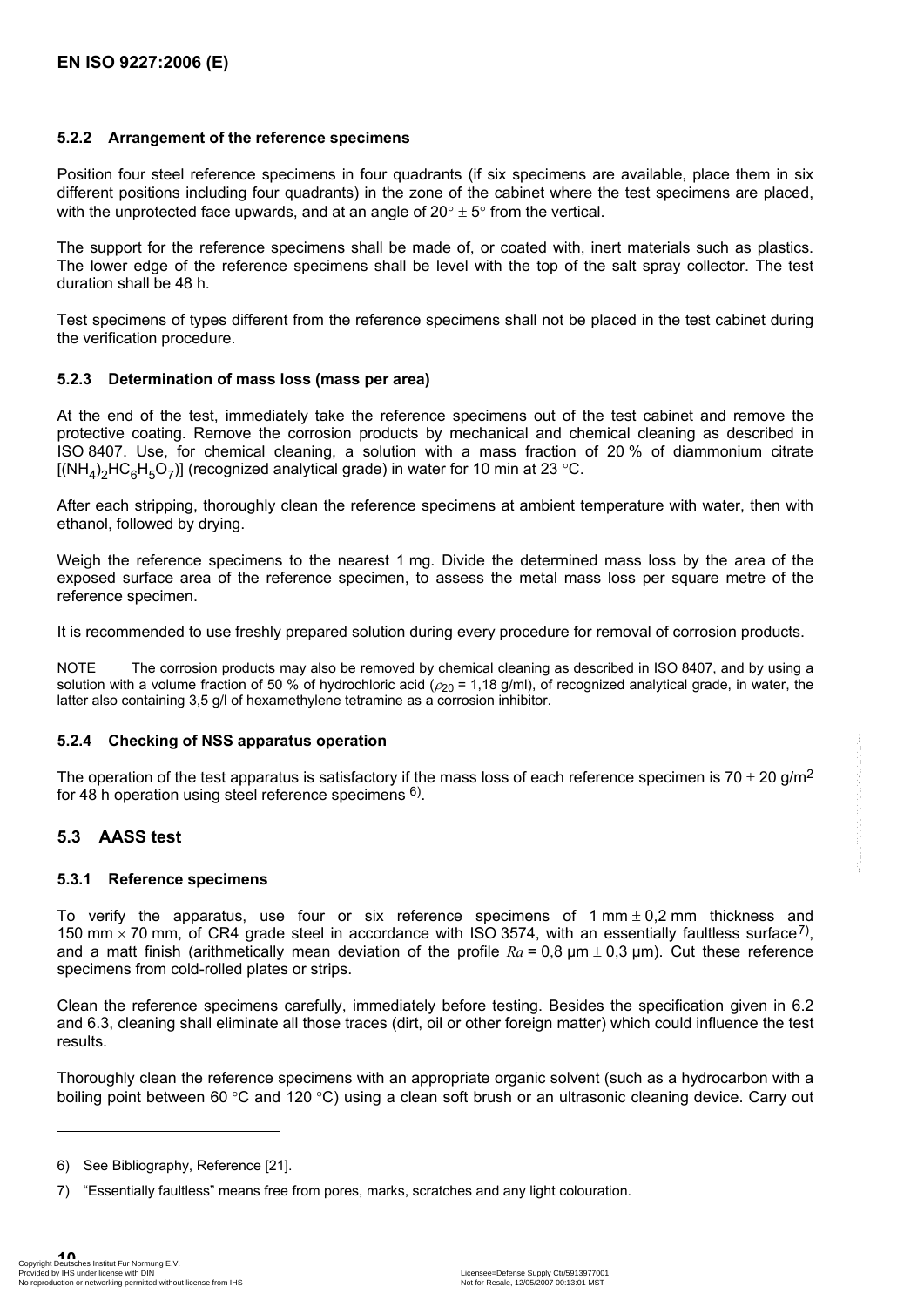#### **5.2.2 Arrangement of the reference specimens**

Position four steel reference specimens in four quadrants (if six specimens are available, place them in six different positions including four quadrants) in the zone of the cabinet where the test specimens are placed, with the unprotected face upwards, and at an angle of  $20^{\circ} \pm 5^{\circ}$  from the vertical.

The support for the reference specimens shall be made of, or coated with, inert materials such as plastics. The lower edge of the reference specimens shall be level with the top of the salt spray collector. The test duration shall be 48 h.

Test specimens of types different from the reference specimens shall not be placed in the test cabinet during the verification procedure.

#### **5.2.3 Determination of mass loss (mass per area)**

At the end of the test, immediately take the reference specimens out of the test cabinet and remove the protective coating. Remove the corrosion products by mechanical and chemical cleaning as described in ISO 8407. Use, for chemical cleaning, a solution with a mass fraction of 20 % of diammonium citrate  $[(NH_4)_2HC_6H_5O_7]$  (recognized analytical grade) in water for 10 min at 23 °C.

After each stripping, thoroughly clean the reference specimens at ambient temperature with water, then with ethanol, followed by drying.

Weigh the reference specimens to the nearest 1 mg. Divide the determined mass loss by the area of the exposed surface area of the reference specimen, to assess the metal mass loss per square metre of the reference specimen.

It is recommended to use freshly prepared solution during every procedure for removal of corrosion products.

NOTE The corrosion products may also be removed by chemical cleaning as described in ISO 8407, and by using a solution with a volume fraction of 50 % of hydrochloric acid ( $\rho_{20}$  = 1,18 g/ml), of recognized analytical grade, in water, the latter also containing 3,5 g/l of hexamethylene tetramine as a corrosion inhibitor.

#### **5.2.4 Checking of NSS apparatus operation**

The operation of the test apparatus is satisfactory if the mass loss of each reference specimen is 70  $\pm$  20 g/m<sup>2</sup> for 48 h operation using steel reference specimens  $6$ ).

#### **5.3 AASS test**

#### **5.3.1 Reference specimens**

To verify the apparatus, use four or six reference specimens of  $1 \text{ mm} \pm 0.2 \text{ mm}$  thickness and 150 mm  $\times$  70 mm, of CR4 grade steel in accordance with ISO 3574, with an essentially faultless surface<sup>7)</sup>, and a matt finish (arithmetically mean deviation of the profile  $Ra = 0.8 \mu m \pm 0.3 \mu m$ ). Cut these reference specimens from cold-rolled plates or strips.

Clean the reference specimens carefully, immediately before testing. Besides the specification given in 6.2 and 6.3, cleaning shall eliminate all those traces (dirt, oil or other foreign matter) which could influence the test results.

Thoroughly clean the reference specimens with an appropriate organic solvent (such as a hydrocarbon with a boiling point between 60 °C and 120 °C) using a clean soft brush or an ultrasonic cleaning device. Carry out

l

<sup>6)</sup> See Bibliography, Reference [21].

<sup>7) &</sup>quot;Essentially faultless" means free from pores, marks, scratches and any light colouration.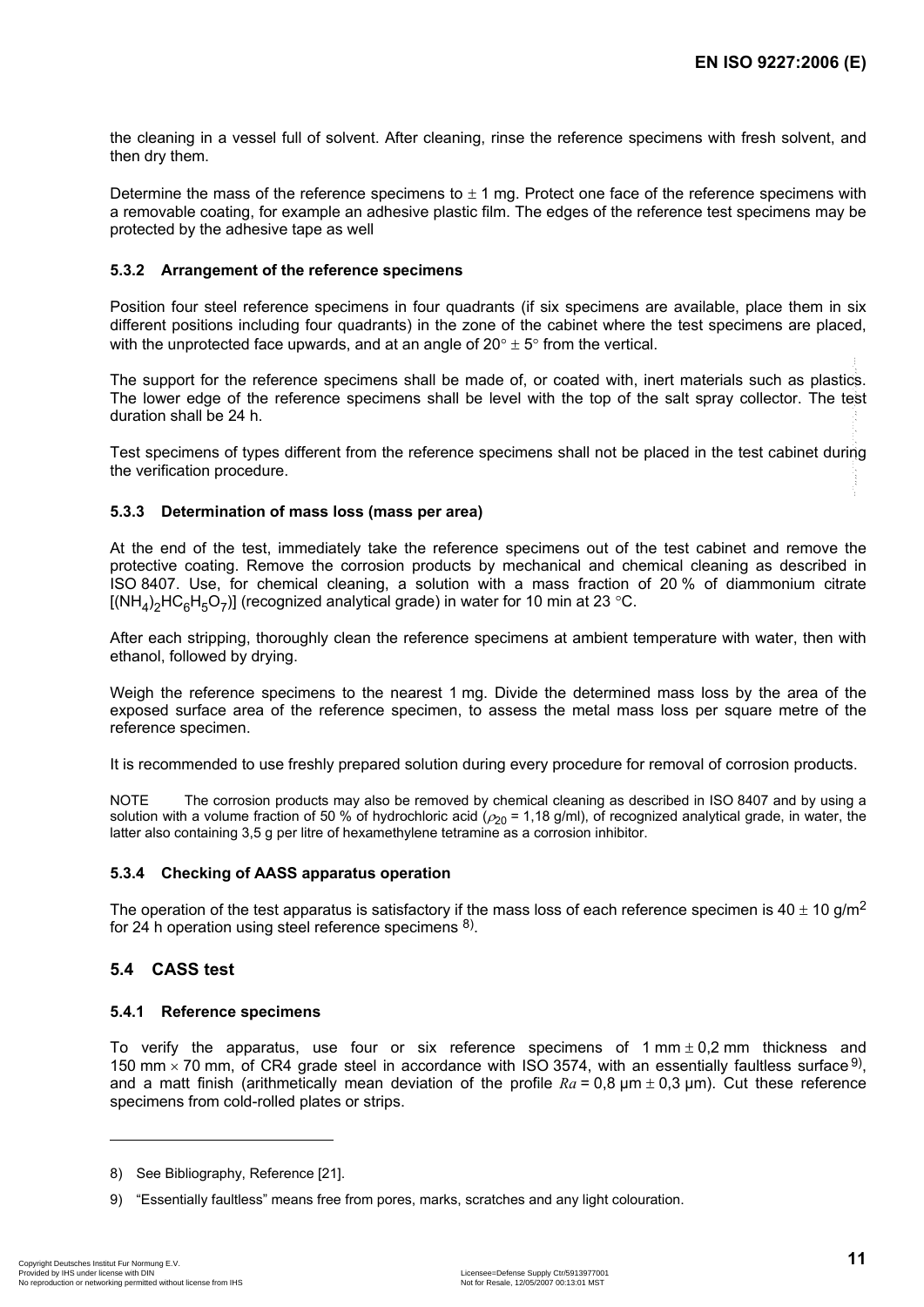the cleaning in a vessel full of solvent. After cleaning, rinse the reference specimens with fresh solvent, and then dry them.

Determine the mass of the reference specimens to  $\pm$  1 mg. Protect one face of the reference specimens with a removable coating, for example an adhesive plastic film. The edges of the reference test specimens may be protected by the adhesive tape as well

#### **5.3.2 Arrangement of the reference specimens**

Position four steel reference specimens in four quadrants (if six specimens are available, place them in six different positions including four quadrants) in the zone of the cabinet where the test specimens are placed, with the unprotected face upwards, and at an angle of  $20^{\circ} \pm 5^{\circ}$  from the vertical.

The support for the reference specimens shall be made of, or coated with, inert materials such as plastics. The lower edge of the reference specimens shall be level with the top of the salt spray collector. The test duration shall be 24 h. --``,,,,`,```,`,`,`,```,```,`,,`-`-`,,`,,`,`,,`---

Test specimens of types different from the reference specimens shall not be placed in the test cabinet during the verification procedure.

#### **5.3.3 Determination of mass loss (mass per area)**

At the end of the test, immediately take the reference specimens out of the test cabinet and remove the protective coating. Remove the corrosion products by mechanical and chemical cleaning as described in ISO 8407. Use, for chemical cleaning, a solution with a mass fraction of 20 % of diammonium citrate  $[(NH<sub>4</sub>)<sub>2</sub>HC<sub>6</sub>H<sub>5</sub>O<sub>7</sub>)]$  (recognized analytical grade) in water for 10 min at 23 °C.

After each stripping, thoroughly clean the reference specimens at ambient temperature with water, then with ethanol, followed by drying.

Weigh the reference specimens to the nearest 1 mg. Divide the determined mass loss by the area of the exposed surface area of the reference specimen, to assess the metal mass loss per square metre of the reference specimen.

It is recommended to use freshly prepared solution during every procedure for removal of corrosion products.

NOTE The corrosion products may also be removed by chemical cleaning as described in ISO 8407 and by using a solution with a volume fraction of 50 % of hydrochloric acid ( $\rho_{20}$  = 1,18 g/ml), of recognized analytical grade, in water, the latter also containing 3,5 g per litre of hexamethylene tetramine as a corrosion inhibitor.

#### **5.3.4 Checking of AASS apparatus operation**

The operation of the test apparatus is satisfactory if the mass loss of each reference specimen is 40  $\pm$  10 g/m<sup>2</sup> for 24 h operation using steel reference specimens <sup>8)</sup>.

#### **5.4 CASS test**

#### **5.4.1 Reference specimens**

To verify the apparatus, use four or six reference specimens of  $1 \text{ mm} \pm 0.2 \text{ mm}$  thickness and 150 mm  $\times$  70 mm, of CR4 grade steel in accordance with ISO 3574, with an essentially faultless surface  $9$ , and a matt finish (arithmetically mean deviation of the profile  $Ra = 0.8 \mu m \pm 0.3 \mu m$ ). Cut these reference specimens from cold-rolled plates or strips.

1

<sup>8)</sup> See Bibliography, Reference [21].

<sup>9) &</sup>quot;Essentially faultless" means free from pores, marks, scratches and any light colouration.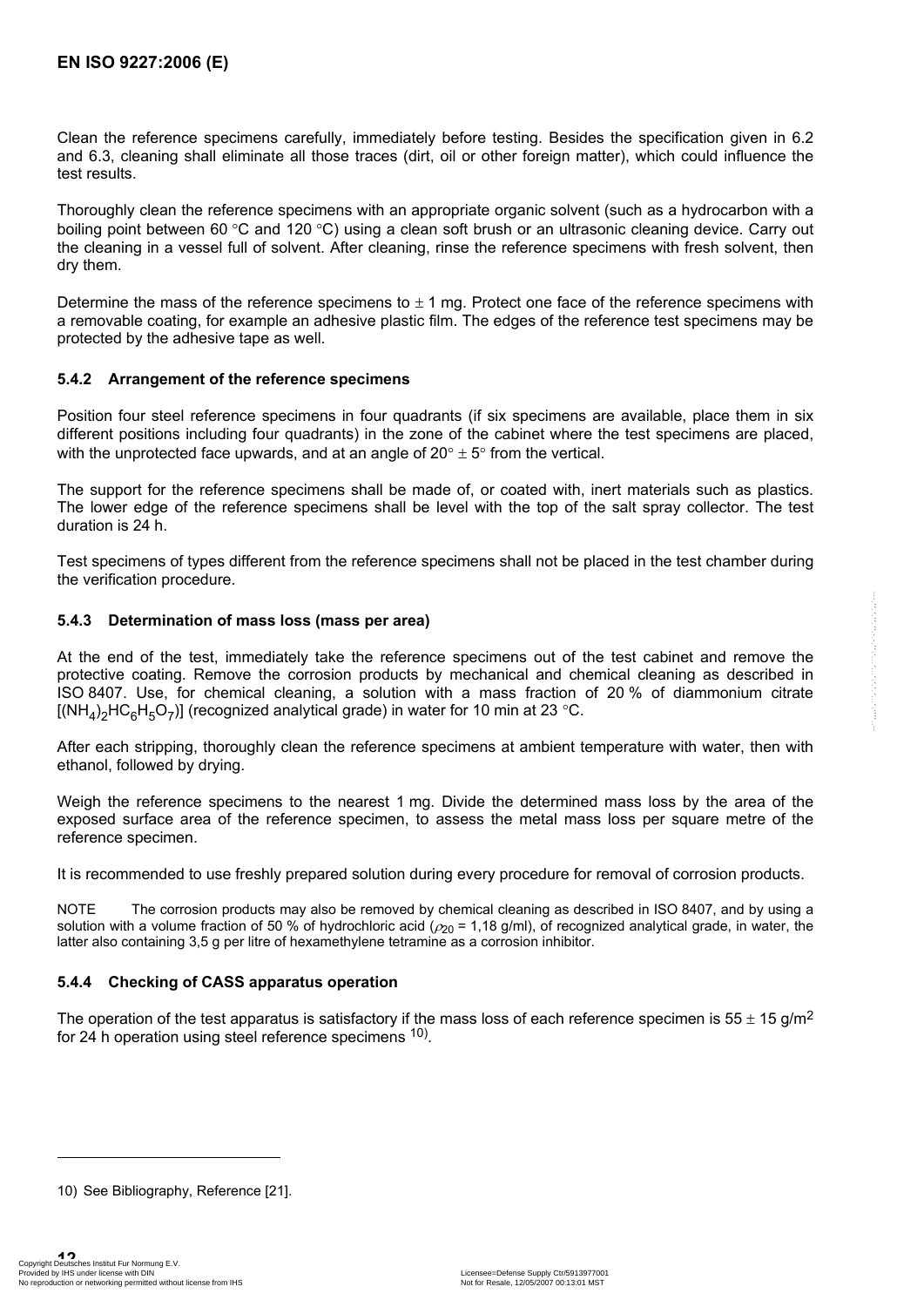Clean the reference specimens carefully, immediately before testing. Besides the specification given in 6.2 and 6.3, cleaning shall eliminate all those traces (dirt, oil or other foreign matter), which could influence the test results.

Thoroughly clean the reference specimens with an appropriate organic solvent (such as a hydrocarbon with a boiling point between 60 °C and 120 °C) using a clean soft brush or an ultrasonic cleaning device. Carry out the cleaning in a vessel full of solvent. After cleaning, rinse the reference specimens with fresh solvent, then dry them.

Determine the mass of the reference specimens to  $\pm$  1 mg. Protect one face of the reference specimens with a removable coating, for example an adhesive plastic film. The edges of the reference test specimens may be protected by the adhesive tape as well.

#### **5.4.2 Arrangement of the reference specimens**

Position four steel reference specimens in four quadrants (if six specimens are available, place them in six different positions including four quadrants) in the zone of the cabinet where the test specimens are placed, with the unprotected face upwards, and at an angle of  $20^{\circ} \pm 5^{\circ}$  from the vertical.

The support for the reference specimens shall be made of, or coated with, inert materials such as plastics. The lower edge of the reference specimens shall be level with the top of the salt spray collector. The test duration is 24 h.

Test specimens of types different from the reference specimens shall not be placed in the test chamber during the verification procedure.

#### **5.4.3 Determination of mass loss (mass per area)**

At the end of the test, immediately take the reference specimens out of the test cabinet and remove the protective coating. Remove the corrosion products by mechanical and chemical cleaning as described in ISO 8407. Use, for chemical cleaning, a solution with a mass fraction of 20 % of diammonium citrate  $[(NH<sub>4</sub>)<sub>2</sub>HC<sub>6</sub>H<sub>5</sub>O<sub>7</sub>)]$  (recognized analytical grade) in water for 10 min at 23 °C.

After each stripping, thoroughly clean the reference specimens at ambient temperature with water, then with ethanol, followed by drying.

Weigh the reference specimens to the nearest 1 mg. Divide the determined mass loss by the area of the exposed surface area of the reference specimen, to assess the metal mass loss per square metre of the reference specimen.

It is recommended to use freshly prepared solution during every procedure for removal of corrosion products.

NOTE The corrosion products may also be removed by chemical cleaning as described in ISO 8407, and by using a solution with a volume fraction of 50 % of hydrochloric acid ( $\rho_{20}$  = 1,18 g/ml), of recognized analytical grade, in water, the latter also containing 3,5 g per litre of hexamethylene tetramine as a corrosion inhibitor.

#### **5.4.4 Checking of CASS apparatus operation**

The operation of the test apparatus is satisfactory if the mass loss of each reference specimen is 55  $\pm$  15 g/m<sup>2</sup> for 24 h operation using steel reference specimens 10).

l

<sup>10)</sup> See Bibliography, Reference [21].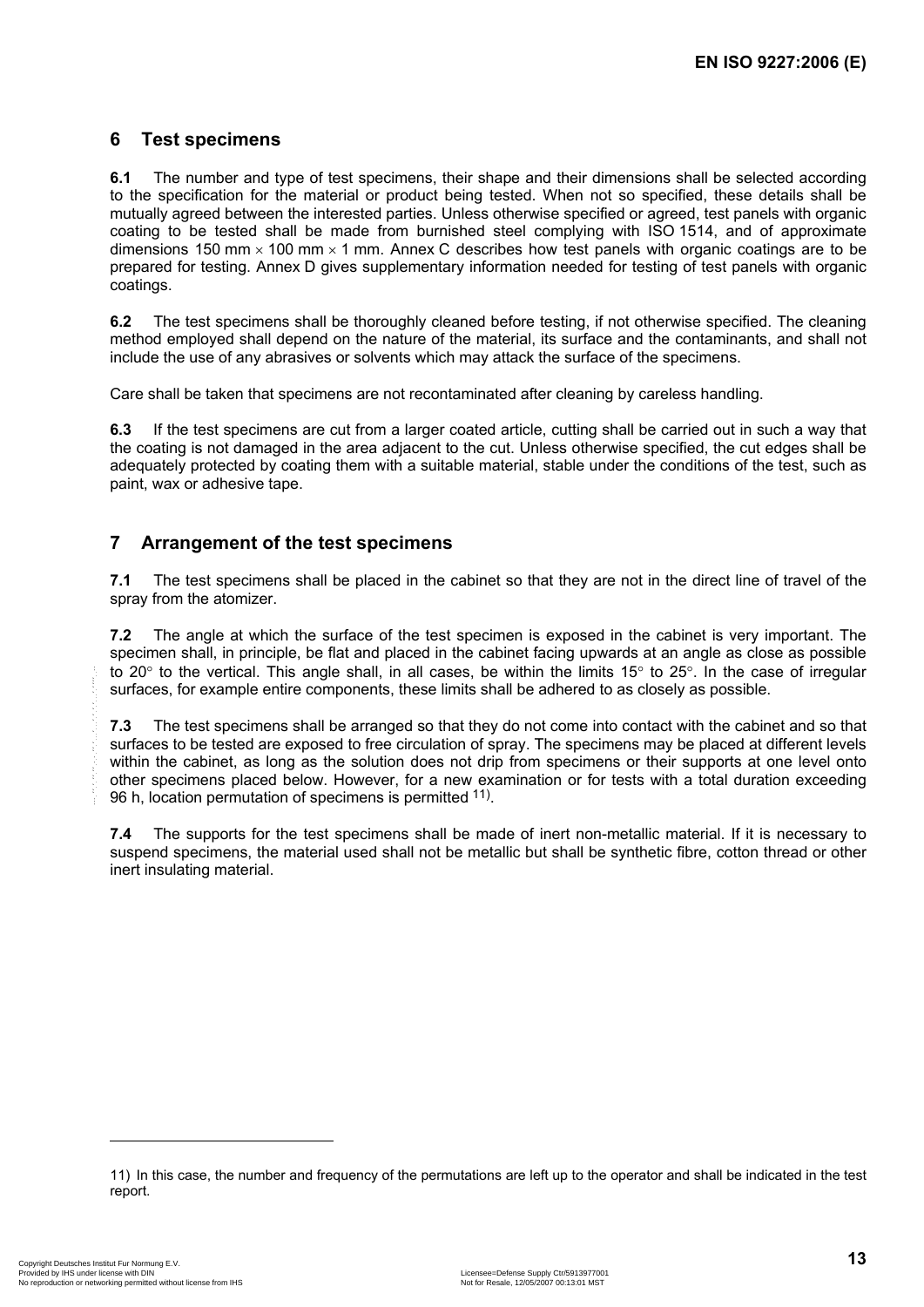### **6 Test specimens**

**6.1** The number and type of test specimens, their shape and their dimensions shall be selected according to the specification for the material or product being tested. When not so specified, these details shall be mutually agreed between the interested parties. Unless otherwise specified or agreed, test panels with organic coating to be tested shall be made from burnished steel complying with ISO 1514, and of approximate dimensions 150 mm  $\times$  100 mm  $\times$  1 mm. Annex C describes how test panels with organic coatings are to be prepared for testing. Annex D gives supplementary information needed for testing of test panels with organic coatings.

**6.2** The test specimens shall be thoroughly cleaned before testing, if not otherwise specified. The cleaning method employed shall depend on the nature of the material, its surface and the contaminants, and shall not include the use of any abrasives or solvents which may attack the surface of the specimens.

Care shall be taken that specimens are not recontaminated after cleaning by careless handling.

**6.3** If the test specimens are cut from a larger coated article, cutting shall be carried out in such a way that the coating is not damaged in the area adjacent to the cut. Unless otherwise specified, the cut edges shall be adequately protected by coating them with a suitable material, stable under the conditions of the test, such as paint, wax or adhesive tape.

# **7 Arrangement of the test specimens**

**7.1** The test specimens shall be placed in the cabinet so that they are not in the direct line of travel of the spray from the atomizer.

**7.2** The angle at which the surface of the test specimen is exposed in the cabinet is very important. The specimen shall, in principle, be flat and placed in the cabinet facing upwards at an angle as close as possible to 20° to the vertical. This angle shall, in all cases, be within the limits 15° to 25°. In the case of irregular surfaces, for example entire components, these limits shall be adhered to as closely as possible.

**7.3** The test specimens shall be arranged so that they do not come into contact with the cabinet and so that surfaces to be tested are exposed to free circulation of spray. The specimens may be placed at different levels within the cabinet, as long as the solution does not drip from specimens or their supports at one level onto other specimens placed below. However, for a new examination or for tests with a total duration exceeding 96 h, location permutation of specimens is permitted <sup>11)</sup>.

**7.4** The supports for the test specimens shall be made of inert non-metallic material. If it is necessary to suspend specimens, the material used shall not be metallic but shall be synthetic fibre, cotton thread or other inert insulating material.

1

<sup>11)</sup> In this case, the number and frequency of the permutations are left up to the operator and shall be indicated in the test report.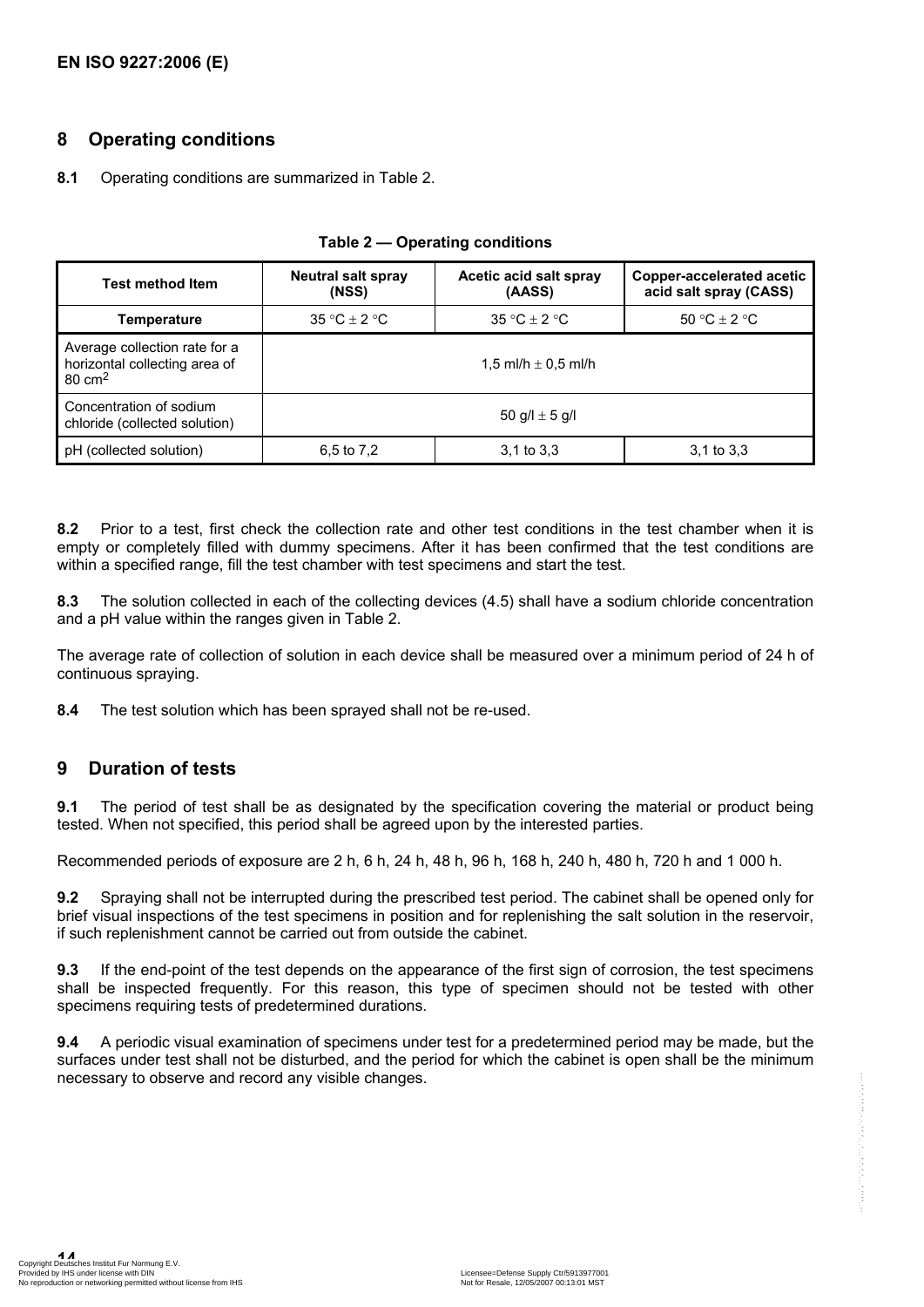### **8 Operating conditions**

#### **8.1** Operating conditions are summarized in Table 2.

| <b>Test method Item</b>                                                             | <b>Neutral salt spray</b><br>(NSS) | Acetic acid salt spray<br>(AASS) | Copper-accelerated acetic<br>acid salt spray (CASS) |
|-------------------------------------------------------------------------------------|------------------------------------|----------------------------------|-----------------------------------------------------|
| Temperature                                                                         | $35 °C + 2 °C$                     | $35 °C + 2 °C$                   | 50 °C $\pm$ 2 °C                                    |
| Average collection rate for a<br>horizontal collecting area of<br>$80 \text{ cm}^2$ | 1.5 ml/h $\pm$ 0.5 ml/h            |                                  |                                                     |
| Concentration of sodium<br>chloride (collected solution)                            | 50 g/l $\pm$ 5 g/l                 |                                  |                                                     |
| (collected solution)<br>рH                                                          | 6,5 to 7,2                         | $3.1$ to $3.3$                   | $3.1$ to $3.3$                                      |

#### **Table 2 — Operating conditions**

**8.2** Prior to a test, first check the collection rate and other test conditions in the test chamber when it is empty or completely filled with dummy specimens. After it has been confirmed that the test conditions are within a specified range, fill the test chamber with test specimens and start the test.

**8.3** The solution collected in each of the collecting devices (4.5) shall have a sodium chloride concentration and a pH value within the ranges given in Table 2.

The average rate of collection of solution in each device shall be measured over a minimum period of 24 h of continuous spraying.

**8.4** The test solution which has been sprayed shall not be re-used.

### **9 Duration of tests**

**9.1** The period of test shall be as designated by the specification covering the material or product being tested. When not specified, this period shall be agreed upon by the interested parties.

Recommended periods of exposure are 2 h, 6 h, 24 h, 48 h, 96 h, 168 h, 240 h, 480 h, 720 h and 1 000 h.

**9.2** Spraying shall not be interrupted during the prescribed test period. The cabinet shall be opened only for brief visual inspections of the test specimens in position and for replenishing the salt solution in the reservoir, if such replenishment cannot be carried out from outside the cabinet.

**9.3** If the end-point of the test depends on the appearance of the first sign of corrosion, the test specimens shall be inspected frequently. For this reason, this type of specimen should not be tested with other specimens requiring tests of predetermined durations.

**9.4** A periodic visual examination of specimens under test for a predetermined period may be made, but the surfaces under test shall not be disturbed, and the period for which the cabinet is open shall be the minimum necessary to observe and record any visible changes.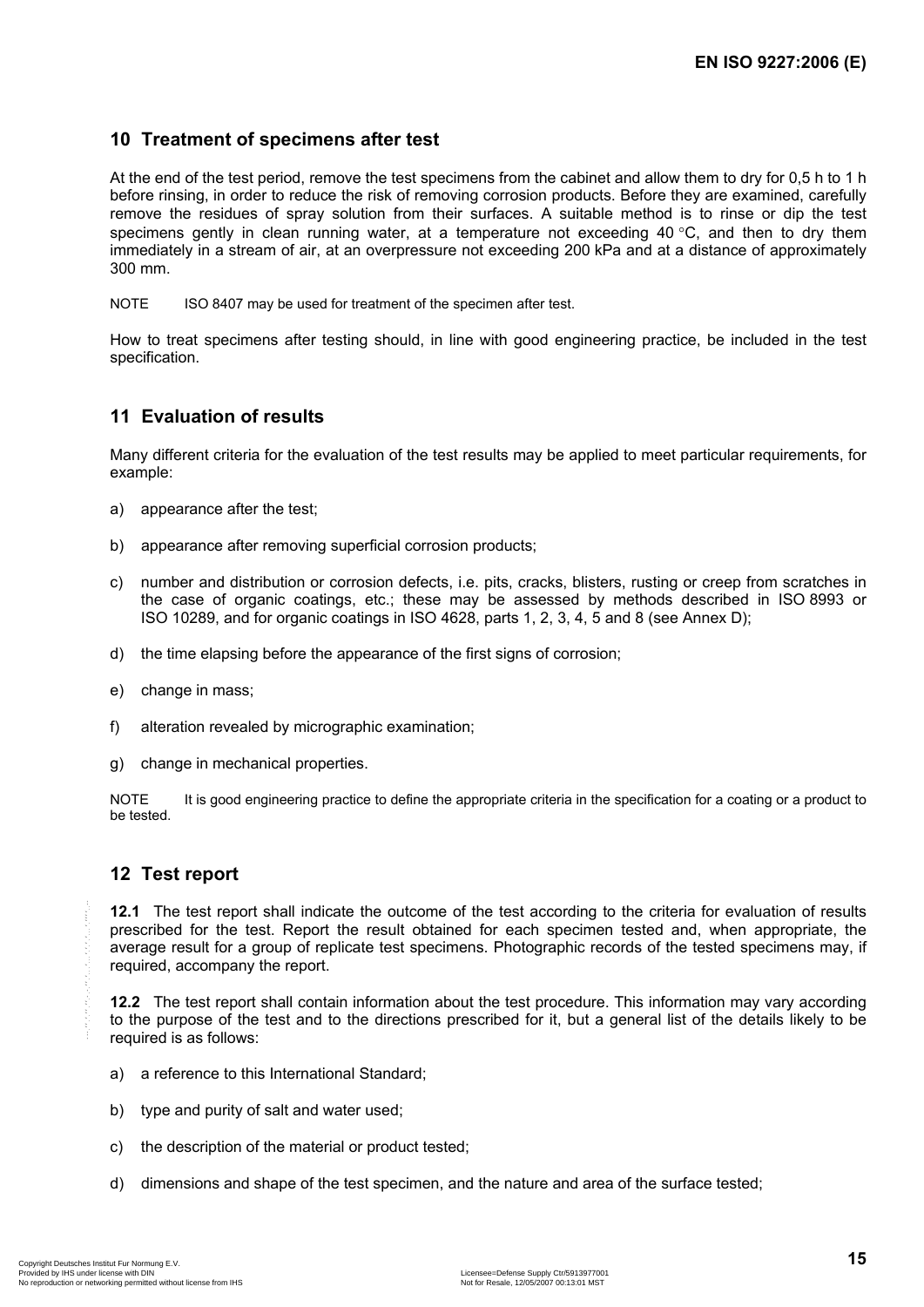### **10 Treatment of specimens after test**

At the end of the test period, remove the test specimens from the cabinet and allow them to dry for 0,5 h to 1 h before rinsing, in order to reduce the risk of removing corrosion products. Before they are examined, carefully remove the residues of spray solution from their surfaces. A suitable method is to rinse or dip the test specimens gently in clean running water, at a temperature not exceeding 40  $\degree$ C, and then to dry them immediately in a stream of air, at an overpressure not exceeding 200 kPa and at a distance of approximately 300 mm.

NOTE ISO 8407 may be used for treatment of the specimen after test.

How to treat specimens after testing should, in line with good engineering practice, be included in the test specification.

### **11 Evaluation of results**

Many different criteria for the evaluation of the test results may be applied to meet particular requirements, for example:

- a) appearance after the test;
- b) appearance after removing superficial corrosion products;
- c) number and distribution or corrosion defects, i.e. pits, cracks, blisters, rusting or creep from scratches in the case of organic coatings, etc.; these may be assessed by methods described in ISO 8993 or ISO 10289, and for organic coatings in ISO 4628, parts 1, 2, 3, 4, 5 and 8 (see Annex D);
- d) the time elapsing before the appearance of the first signs of corrosion;
- e) change in mass;
- f) alteration revealed by micrographic examination;
- g) change in mechanical properties.

NOTE It is good engineering practice to define the appropriate criteria in the specification for a coating or a product to be tested.

### **12 Test report**

**12.1** The test report shall indicate the outcome of the test according to the criteria for evaluation of results prescribed for the test. Report the result obtained for each specimen tested and, when appropriate, the average result for a group of replicate test specimens. Photographic records of the tested specimens may, if required, accompany the report.

**12.2** The test report shall contain information about the test procedure. This information may vary according to the purpose of the test and to the directions prescribed for it, but a general list of the details likely to be required is as follows:

- a) a reference to this International Standard;
- b) type and purity of salt and water used;
- c) the description of the material or product tested;
- d) dimensions and shape of the test specimen, and the nature and area of the surface tested;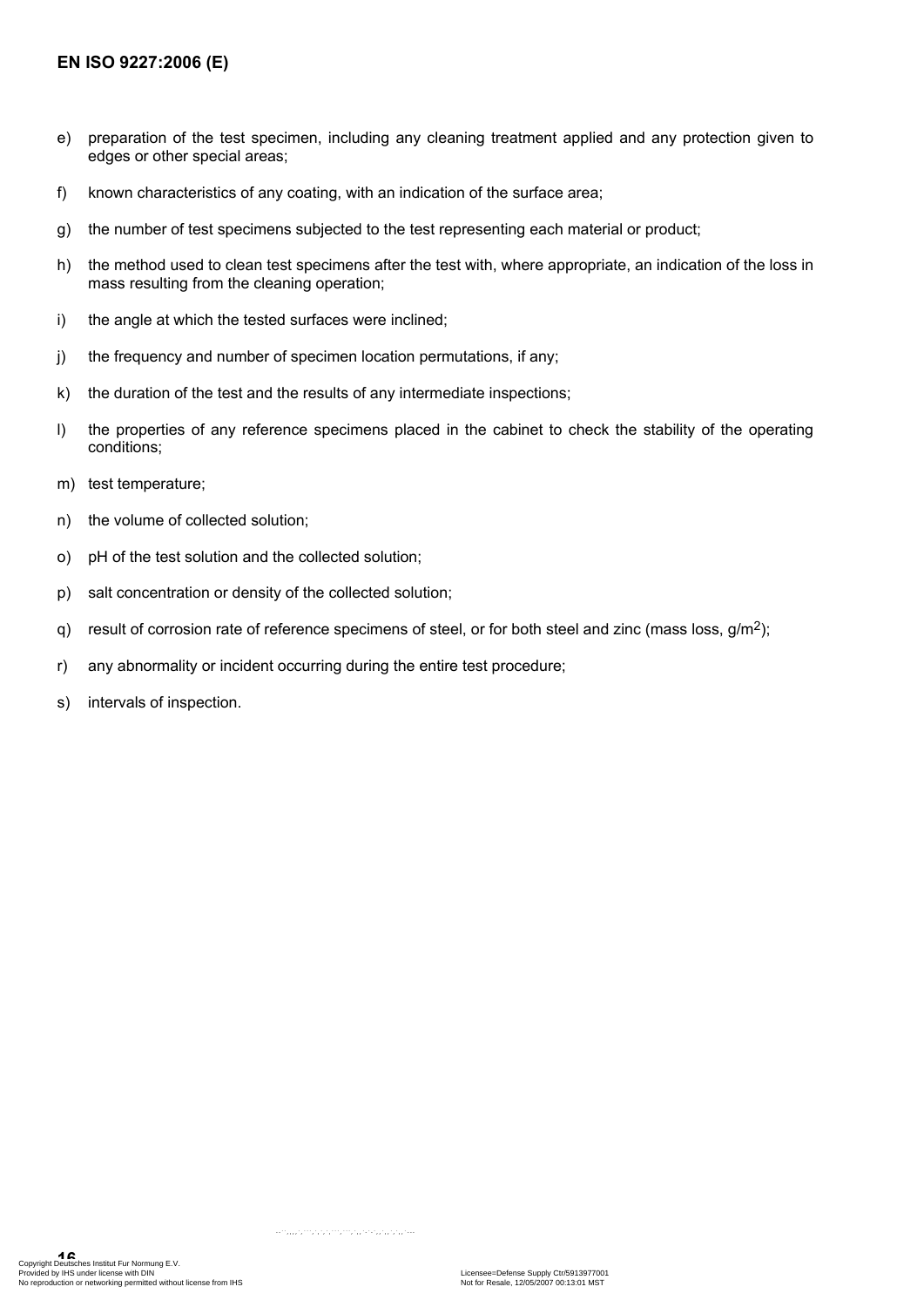- e) preparation of the test specimen, including any cleaning treatment applied and any protection given to edges or other special areas;
- f) known characteristics of any coating, with an indication of the surface area;
- g) the number of test specimens subjected to the test representing each material or product;
- h) the method used to clean test specimens after the test with, where appropriate, an indication of the loss in mass resulting from the cleaning operation;
- i) the angle at which the tested surfaces were inclined;
- j) the frequency and number of specimen location permutations, if any;
- k) the duration of the test and the results of any intermediate inspections;
- l) the properties of any reference specimens placed in the cabinet to check the stability of the operating conditions;
- m) test temperature;
- n) the volume of collected solution;
- o) pH of the test solution and the collected solution;
- p) salt concentration or density of the collected solution;
- q) result of corrosion rate of reference specimens of steel, or for both steel and zinc (mass loss, g/m2);
- r) any abnormality or incident occurring during the entire test procedure;
- s) intervals of inspection.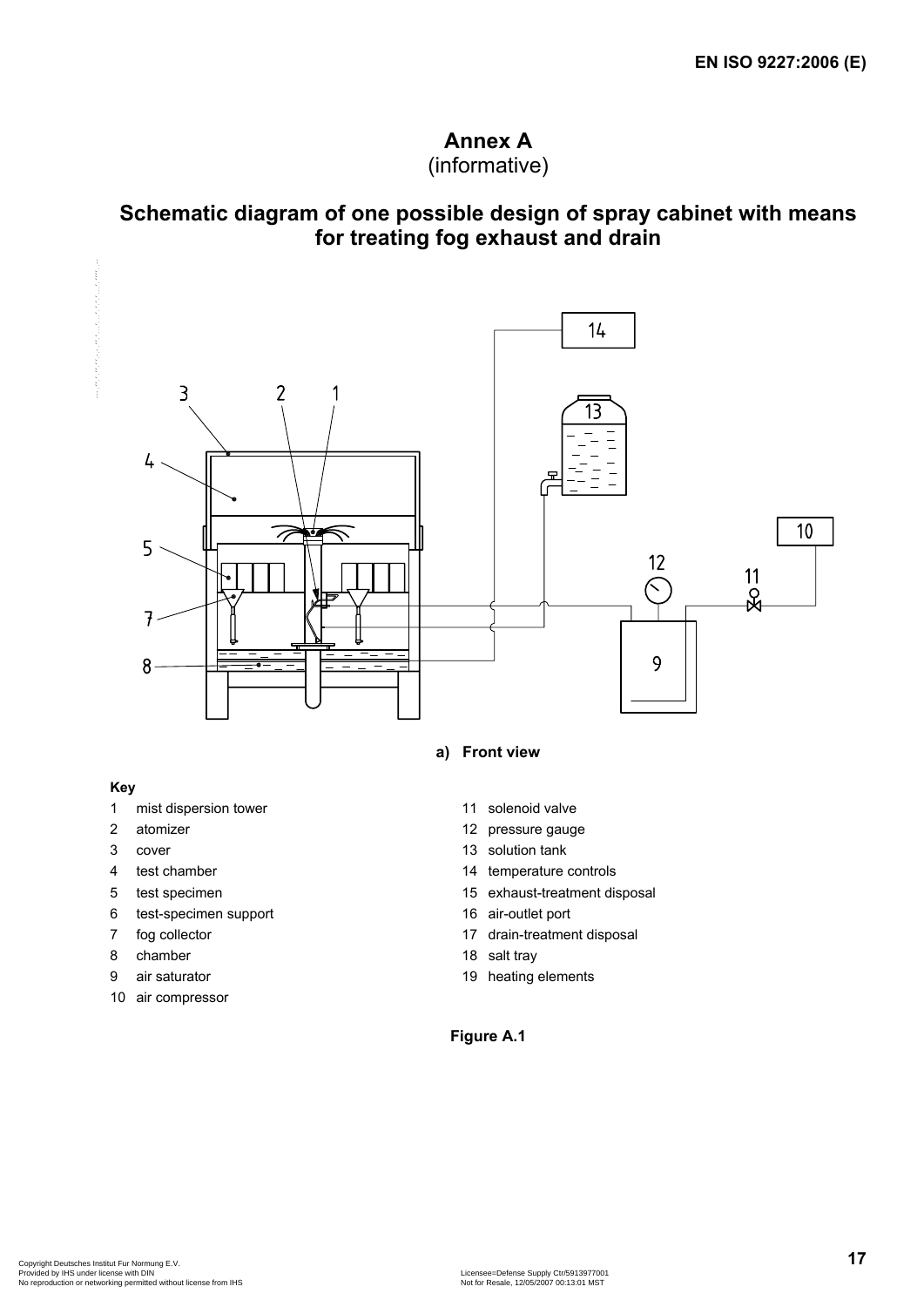# **Annex A** (informative)

# **Schematic diagram of one possible design of spray cabinet with means for treating fog exhaust and drain**



#### **a) Front view**

#### **Key**

- 1 mist dispersion tower 11 solenoid valve
- 
- 
- 
- 
- 6 test-specimen support 16 air-outlet port
- 
- 8 chamber 18 salt tray
- 
- 10 air compressor
- 
- 2 atomizer 12 pressure gauge
- 3 cover 13 solution tank
- 4 test chamber 14 temperature controls
- 5 test specimen 15 exhaust-treatment disposal
	-
- 7 fog collector 17 drain-treatment disposal
	-
- 9 air saturator 19 heating elements

### **Figure A.1**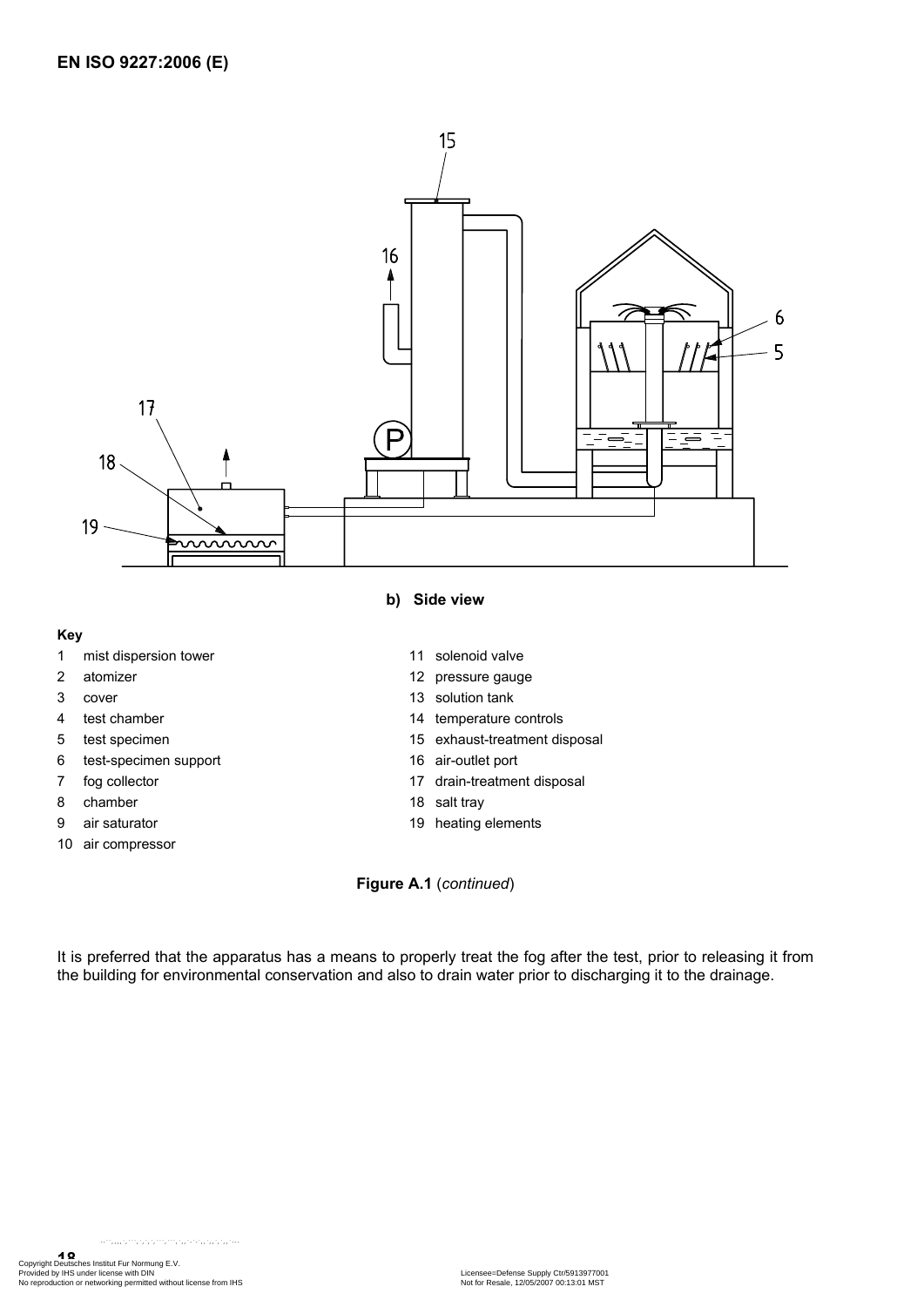

#### **Key**

- 1 mist dispersion tower 11 solenoid valve
- 
- 
- 
- 
- 6 test-specimen support 16 air-outlet port
- 
- 8 chamber 18 salt tray
- 
- 10 air compressor
- **b) Side view** 
	-
- 2 atomizer 12 pressure gauge
- 3 cover 13 solution tank
- 4 test chamber 14 temperature controls
- 5 test specimen 15 exhaust-treatment disposal
	-
- 7 fog collector 17 drain-treatment disposal
	-
- 9 air saturator 19 heating elements

**Figure A.1** (*continued*)

It is preferred that the apparatus has a means to properly treat the fog after the test, prior to releasing it from the building for environmental conservation and also to drain water prior to discharging it to the drainage.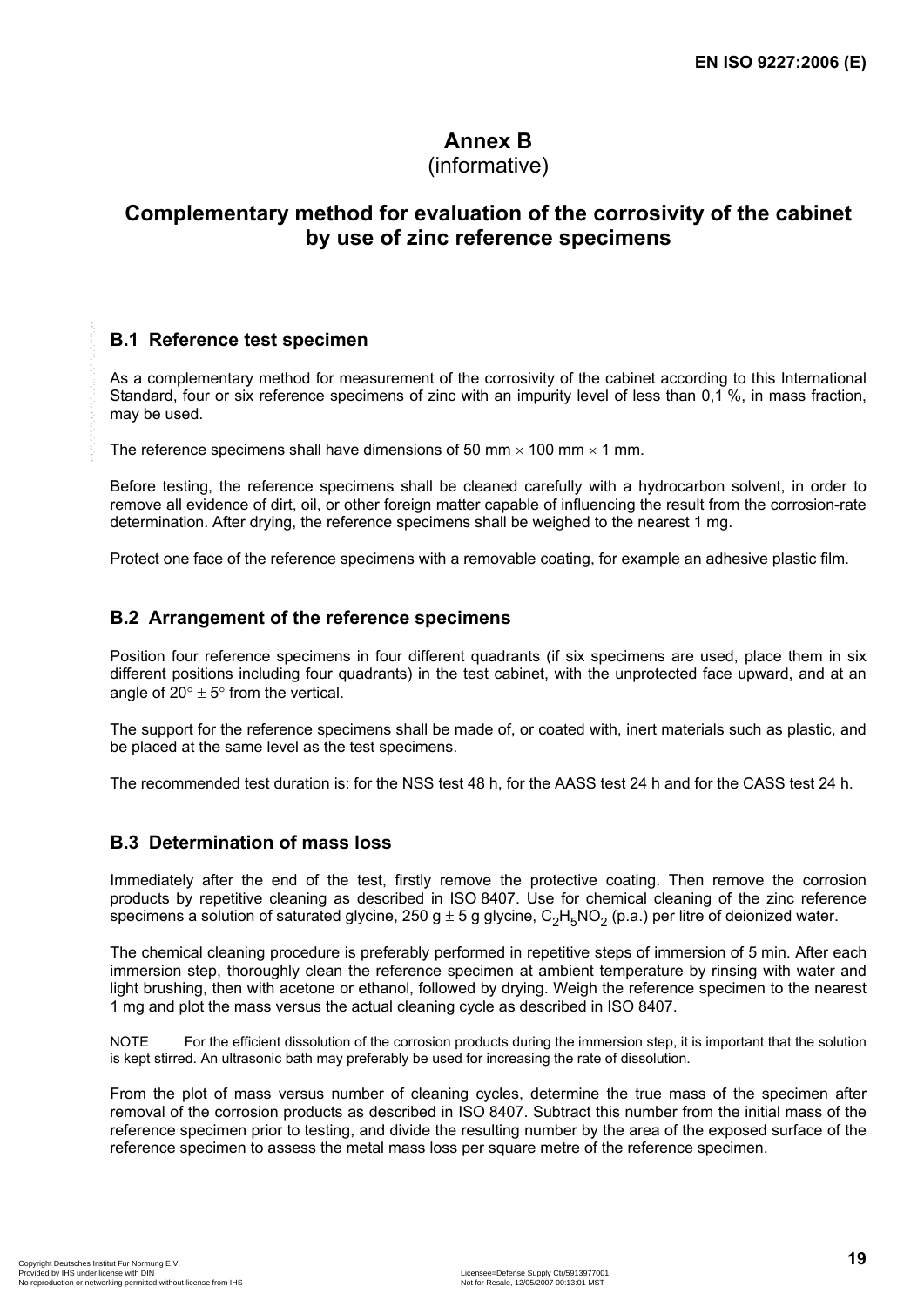# **Annex B**

# (informative)

# **Complementary method for evaluation of the corrosivity of the cabinet by use of zinc reference specimens**

# **B.1 Reference test specimen**

As a complementary method for measurement of the corrosivity of the cabinet according to this International Standard, four or six reference specimens of zinc with an impurity level of less than 0,1 %, in mass fraction, may be used.

The reference specimens shall have dimensions of 50 mm  $\times$  100 mm  $\times$  1 mm.

Before testing, the reference specimens shall be cleaned carefully with a hydrocarbon solvent, in order to remove all evidence of dirt, oil, or other foreign matter capable of influencing the result from the corrosion-rate determination. After drying, the reference specimens shall be weighed to the nearest 1 mg.

Protect one face of the reference specimens with a removable coating, for example an adhesive plastic film.

### **B.2 Arrangement of the reference specimens**

Position four reference specimens in four different quadrants (if six specimens are used, place them in six different positions including four quadrants) in the test cabinet, with the unprotected face upward, and at an angle of  $20^\circ \pm 5^\circ$  from the vertical.

The support for the reference specimens shall be made of, or coated with, inert materials such as plastic, and be placed at the same level as the test specimens.

The recommended test duration is: for the NSS test 48 h, for the AASS test 24 h and for the CASS test 24 h.

### **B.3 Determination of mass loss**

Immediately after the end of the test, firstly remove the protective coating. Then remove the corrosion products by repetitive cleaning as described in ISO 8407. Use for chemical cleaning of the zinc reference specimens a solution of saturated glycine, 250 g  $\pm$  5 g glycine, C<sub>2</sub>H<sub>5</sub>NO<sub>2</sub> (p.a.) per litre of deionized water.

The chemical cleaning procedure is preferably performed in repetitive steps of immersion of 5 min. After each immersion step, thoroughly clean the reference specimen at ambient temperature by rinsing with water and light brushing, then with acetone or ethanol, followed by drying. Weigh the reference specimen to the nearest 1 mg and plot the mass versus the actual cleaning cycle as described in ISO 8407.

NOTE For the efficient dissolution of the corrosion products during the immersion step, it is important that the solution is kept stirred. An ultrasonic bath may preferably be used for increasing the rate of dissolution.

From the plot of mass versus number of cleaning cycles, determine the true mass of the specimen after removal of the corrosion products as described in ISO 8407. Subtract this number from the initial mass of the reference specimen prior to testing, and divide the resulting number by the area of the exposed surface of the reference specimen to assess the metal mass loss per square metre of the reference specimen.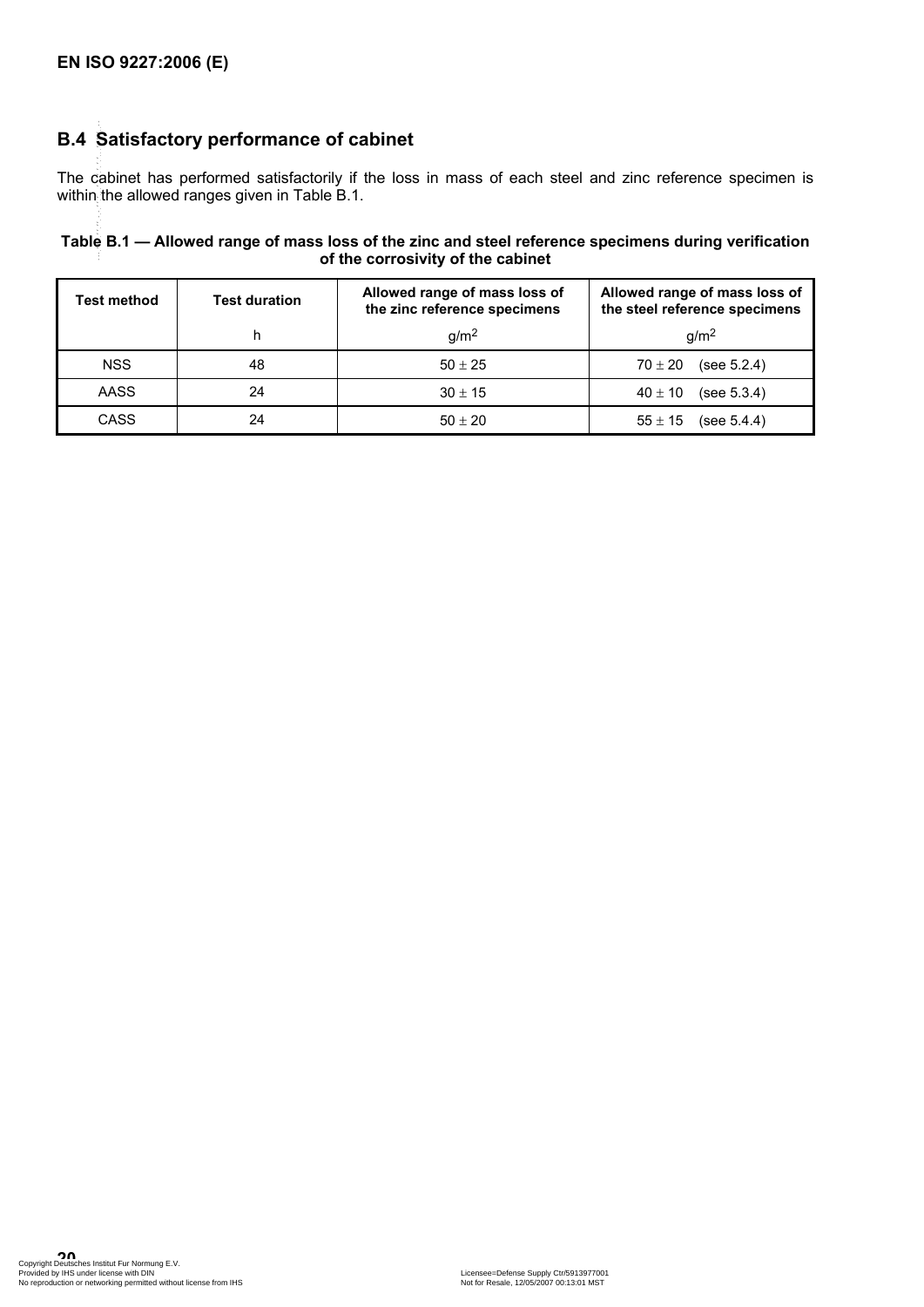# **B.4 Satisfactory performance of cabinet**

The cabinet has performed satisfactorily if the loss in mass of each steel and zinc reference specimen is within the allowed ranges given in Table B.1. --``,,,,`,```,`,`,`,```,```,`,,`-`-`,,`,,`,`,,`---

| Table B.1 — Allowed range of mass loss of the zinc and steel reference specimens during verification |
|------------------------------------------------------------------------------------------------------|
| of the corrosivity of the cabinet                                                                    |

| <b>Test method</b> | <b>Test duration</b> | Allowed range of mass loss of<br>the zinc reference specimens | Allowed range of mass loss of<br>the steel reference specimens |
|--------------------|----------------------|---------------------------------------------------------------|----------------------------------------------------------------|
|                    |                      | q/m <sup>2</sup>                                              | q/m <sup>2</sup>                                               |
| <b>NSS</b>         | 48                   | $50 \pm 25$                                                   | (see $5.2.4$ )<br>$70 \pm 20$                                  |
| AASS               | 24                   | $30 \pm 15$                                                   | (see $5.3.4$ )<br>$40 \pm 10$                                  |
| <b>CASS</b>        | 24                   | $50 \pm 20$                                                   | (see 5.4.4)<br>$55 \pm 15$                                     |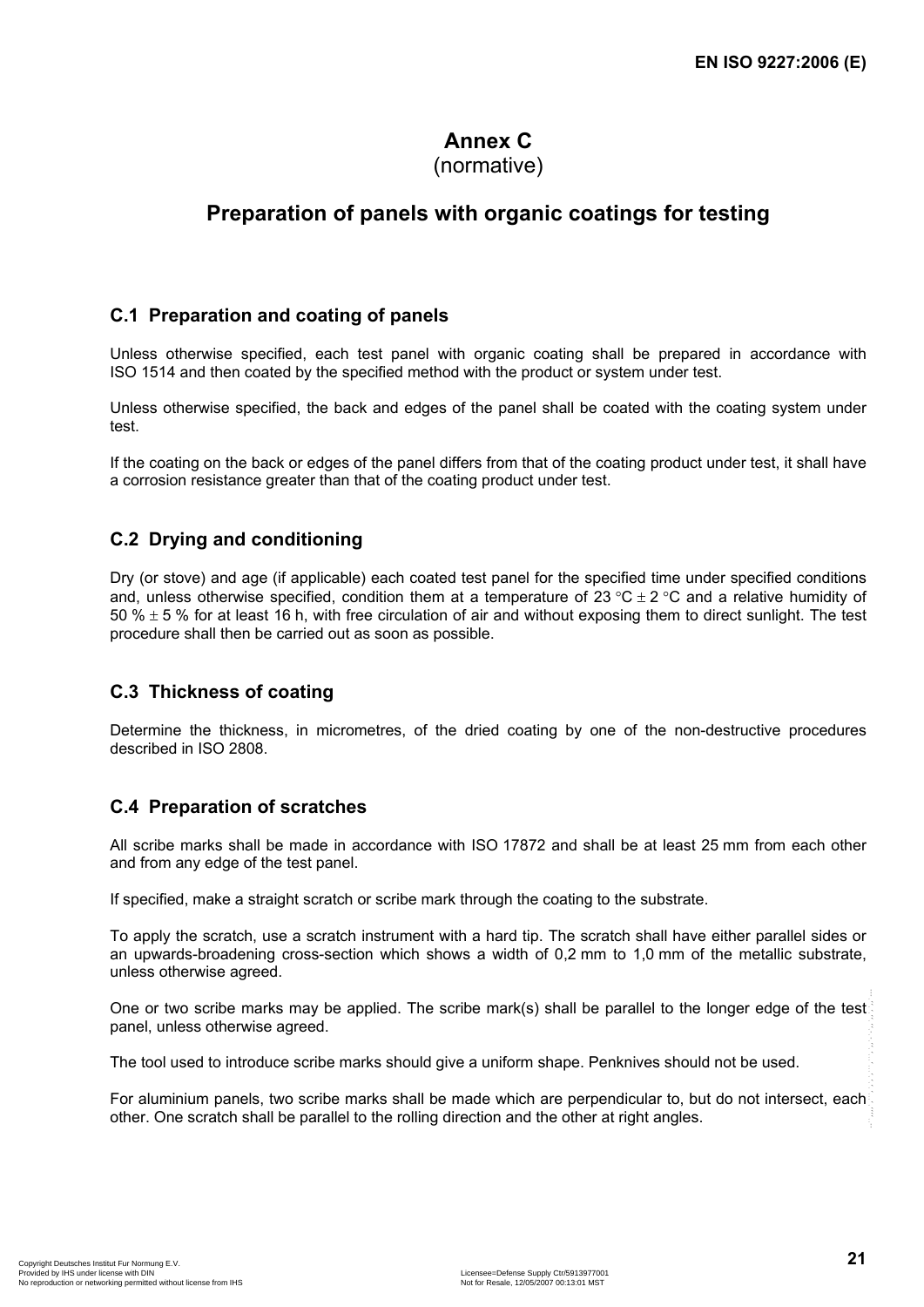# **Annex C**

# (normative)

# **Preparation of panels with organic coatings for testing**

# **C.1 Preparation and coating of panels**

Unless otherwise specified, each test panel with organic coating shall be prepared in accordance with ISO 1514 and then coated by the specified method with the product or system under test.

Unless otherwise specified, the back and edges of the panel shall be coated with the coating system under test.

If the coating on the back or edges of the panel differs from that of the coating product under test, it shall have a corrosion resistance greater than that of the coating product under test.

# **C.2 Drying and conditioning**

Dry (or stove) and age (if applicable) each coated test panel for the specified time under specified conditions and, unless otherwise specified, condition them at a temperature of 23 °C  $\pm$  2 °C and a relative humidity of 50 %  $\pm$  5 % for at least 16 h, with free circulation of air and without exposing them to direct sunlight. The test procedure shall then be carried out as soon as possible.

### **C.3 Thickness of coating**

Determine the thickness, in micrometres, of the dried coating by one of the non-destructive procedures described in ISO 2808.

# **C.4 Preparation of scratches**

All scribe marks shall be made in accordance with ISO 17872 and shall be at least 25 mm from each other and from any edge of the test panel.

If specified, make a straight scratch or scribe mark through the coating to the substrate.

To apply the scratch, use a scratch instrument with a hard tip. The scratch shall have either parallel sides or an upwards-broadening cross-section which shows a width of 0,2 mm to 1,0 mm of the metallic substrate, unless otherwise agreed.

One or two scribe marks may be applied. The scribe mark(s) shall be parallel to the longer edge of the test panel, unless otherwise agreed.

The tool used to introduce scribe marks should give a uniform shape. Penknives should not be used.

For aluminium panels, two scribe marks shall be made which are perpendicular to, but do not intersect, each other. One scratch shall be parallel to the rolling direction and the other at right angles.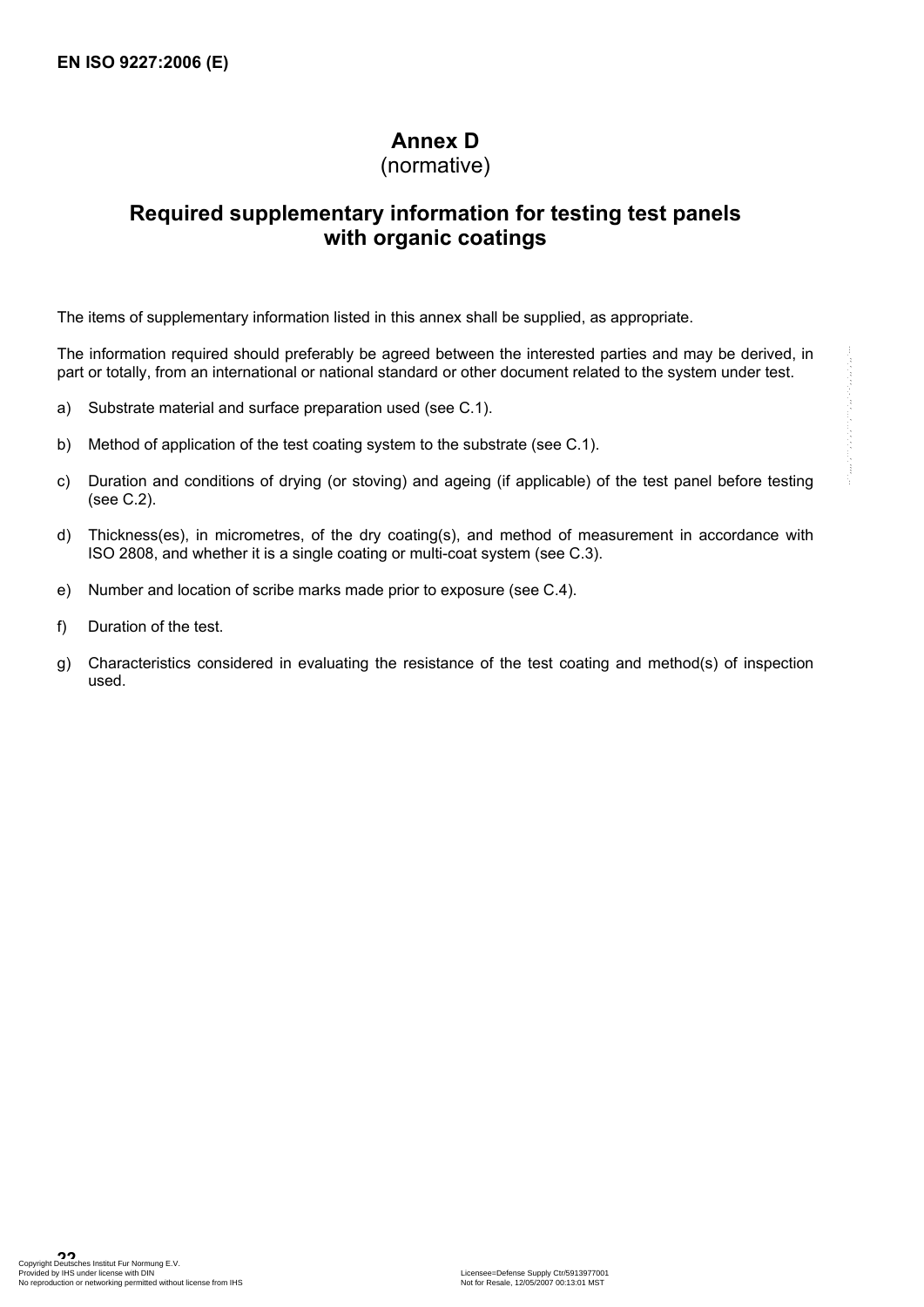# **Annex D**

(normative)

# **Required supplementary information for testing test panels with organic coatings**

The items of supplementary information listed in this annex shall be supplied, as appropriate.

The information required should preferably be agreed between the interested parties and may be derived, in part or totally, from an international or national standard or other document related to the system under test.

- a) Substrate material and surface preparation used (see C.1).
- b) Method of application of the test coating system to the substrate (see C.1).
- c) Duration and conditions of drying (or stoving) and ageing (if applicable) of the test panel before testing (see C.2).
- d) Thickness(es), in micrometres, of the dry coating(s), and method of measurement in accordance with ISO 2808, and whether it is a single coating or multi-coat system (see C.3).
- e) Number and location of scribe marks made prior to exposure (see C.4).
- f) Duration of the test.
- g) Characteristics considered in evaluating the resistance of the test coating and method(s) of inspection used.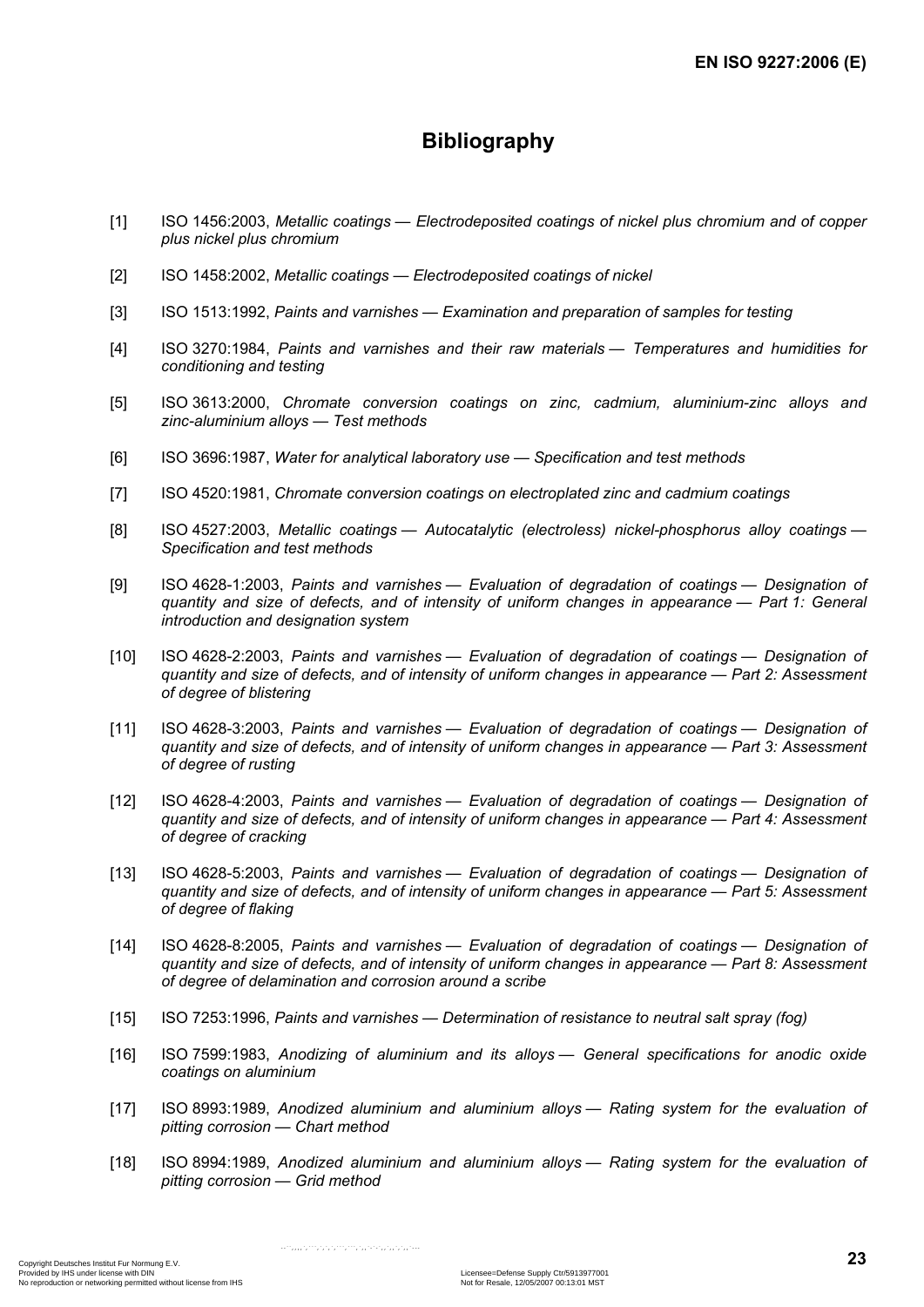# **Bibliography**

- [1] ISO 1456:2003, *Metallic coatings Electrodeposited coatings of nickel plus chromium and of copper plus nickel plus chromium*
- [2] ISO 1458:2002, *Metallic coatings Electrodeposited coatings of nickel*
- [3] ISO 1513:1992, *Paints and varnishes Examination and preparation of samples for testing*
- [4] ISO 3270:1984, *Paints and varnishes and their raw materials Temperatures and humidities for conditioning and testing*
- [5] ISO 3613:2000, *Chromate conversion coatings on zinc, cadmium, aluminium-zinc alloys and zinc-aluminium alloys — Test methods*
- [6] ISO 3696:1987, *Water for analytical laboratory use Specification and test methods*
- [7] ISO 4520:1981, *Chromate conversion coatings on electroplated zinc and cadmium coatings*
- [8] ISO 4527:2003, *Metallic coatings Autocatalytic (electroless) nickel-phosphorus alloy coatings Specification and test methods*
- [9] ISO 4628-1:2003, *Paints and varnishes Evaluation of degradation of coatings Designation of quantity and size of defects, and of intensity of uniform changes in appearance — Part 1: General introduction and designation system*
- [10] ISO 4628-2:2003, *Paints and varnishes Evaluation of degradation of coatings Designation of quantity and size of defects, and of intensity of uniform changes in appearance — Part 2: Assessment of degree of blistering*
- [11] ISO 4628-3:2003, *Paints and varnishes Evaluation of degradation of coatings Designation of quantity and size of defects, and of intensity of uniform changes in appearance — Part 3: Assessment of degree of rusting*
- [12] ISO 4628-4:2003, *Paints and varnishes Evaluation of degradation of coatings Designation of quantity and size of defects, and of intensity of uniform changes in appearance — Part 4: Assessment of degree of cracking*
- [13] ISO 4628-5:2003, *Paints and varnishes Evaluation of degradation of coatings Designation of quantity and size of defects, and of intensity of uniform changes in appearance — Part 5: Assessment of degree of flaking*
- [14] ISO 4628-8:2005, *Paints and varnishes Evaluation of degradation of coatings Designation of quantity and size of defects, and of intensity of uniform changes in appearance — Part 8: Assessment of degree of delamination and corrosion around a scribe*
- [15] ISO 7253:1996, *Paints and varnishes Determination of resistance to neutral salt spray (fog)*

--``,,,,`,```,`,`,`,```,```,`,,`-`-`,,`,,`,`,,`---

- [16] ISO 7599:1983, *Anodizing of aluminium and its alloys General specifications for anodic oxide coatings on aluminium*
- [17] ISO 8993:1989, *Anodized aluminium and aluminium alloys Rating system for the evaluation of pitting corrosion — Chart method*
- [18] ISO 8994:1989, *Anodized aluminium and aluminium alloys Rating system for the evaluation of pitting corrosion — Grid method*